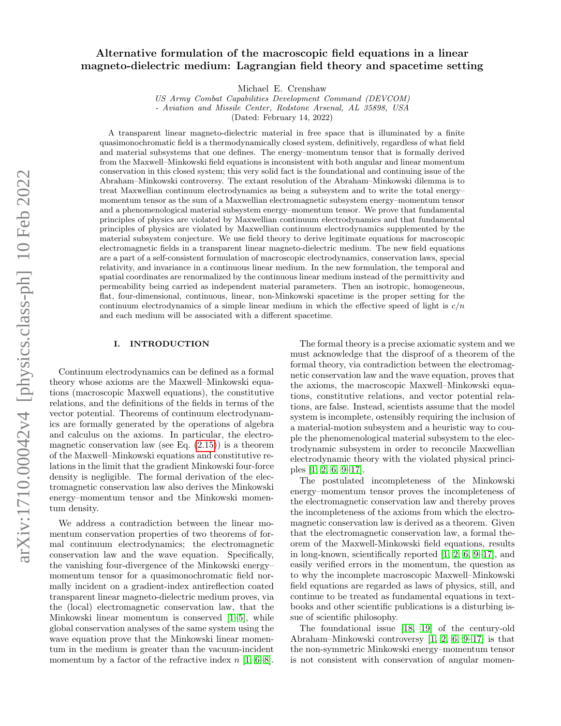# Alternative formulation of the macroscopic field equations in a linear magneto-dielectric medium: Lagrangian field theory and spacetime setting

Michael E. Crenshaw

US Army Combat Capabilities Development Command (DEVCOM) - Aviation and Missile Center, Redstone Arsenal, AL 35898, USA

(Dated: February 14, 2022)

A transparent linear magneto-dielectric material in free space that is illuminated by a finite quasimonochromatic field is a thermodynamically closed system, definitively, regardless of what field and material subsystems that one defines. The energy–momentum tensor that is formally derived from the Maxwell–Minkowski field equations is inconsistent with both angular and linear momentum conservation in this closed system; this very solid fact is the foundational and continuing issue of the Abraham–Minkowski controversy. The extant resolution of the Abraham–Minkowski dilemma is to treat Maxwellian continuum electrodynamics as being a subsystem and to write the total energy– momentum tensor as the sum of a Maxwellian electromagnetic subsystem energy–momentum tensor and a phenomenological material subsystem energy–momentum tensor. We prove that fundamental principles of physics are violated by Maxwellian continuum electrodynamics and that fundamental principles of physics are violated by Maxwellian continuum electrodynamics supplemented by the material subsystem conjecture. We use field theory to derive legitimate equations for macroscopic electromagnetic fields in a transparent linear magneto-dielectric medium. The new field equations are a part of a self-consistent formulation of macroscopic electrodynamics, conservation laws, special relativity, and invariance in a continuous linear medium. In the new formulation, the temporal and spatial coordinates are renormalized by the continuous linear medium instead of the permittivity and permeability being carried as independent material parameters. Then an isotropic, homogeneous, flat, four-dimensional, continuous, linear, non-Minkowski spacetime is the proper setting for the continuum electrodynamics of a simple linear medium in which the effective speed of light is  $c/n$ and each medium will be associated with a different spacetime.

# I. INTRODUCTION

Continuum electrodynamics can be defined as a formal theory whose axioms are the Maxwell–Minkowski equations (macroscopic Maxwell equations), the constitutive relations, and the definitions of the fields in terms of the vector potential. Theorems of continuum electrodynamics are formally generated by the operations of algebra and calculus on the axioms. In particular, the electromagnetic conservation law (see Eq.  $(2.15)$ ) is a theorem of the Maxwell–Minkowski equations and constitutive relations in the limit that the gradient Minkowski four-force density is negligible. The formal derivation of the electromagnetic conservation law also derives the Minkowski energy–momentum tensor and the Minkowski momentum density.

We address a contradiction between the linear momentum conservation properties of two theorems of formal continuum electrodynamics; the electromagnetic conservation law and the wave equation. Specifically, the vanishing four-divergence of the Minkowski energy– momentum tensor for a quasimonochromatic field normally incident on a gradient-index antireflection coated transparent linear magneto-dielectric medium proves, via the (local) electromagnetic conservation law, that the Minkowski linear momentum is conserved [\[1](#page-18-0)[–5\]](#page-18-1), while global conservation analyses of the same system using the wave equation prove that the Minkowski linear momentum in the medium is greater than the vacuum-incident momentum by a factor of the refractive index  $n$  [\[1,](#page-18-0) [6–](#page-18-2)[8\]](#page-18-3).

The formal theory is a precise axiomatic system and we must acknowledge that the disproof of a theorem of the formal theory, via contradiction between the electromagnetic conservation law and the wave equation, proves that the axioms, the macroscopic Maxwell–Minkowski equations, constitutive relations, and vector potential relations, are false. Instead, scientists assume that the model system is incomplete, ostensibly requiring the inclusion of a material-motion subsystem and a heuristic way to couple the phenomenological material subsystem to the electrodynamic subsystem in order to reconcile Maxwellian electrodynamic theory with the violated physical principles [\[1,](#page-18-0) [2,](#page-18-4) [6,](#page-18-2) [9–](#page-18-5)[17\]](#page-18-6).

The postulated incompleteness of the Minkowski energy–momentum tensor proves the incompleteness of the electromagnetic conservation law and thereby proves the incompleteness of the axioms from which the electromagnetic conservation law is derived as a theorem. Given that the electromagnetic conservation law, a formal theorem of the Maxwell-Minkowski field equations, results in long-known, scientifically reported [\[1,](#page-18-0) [2,](#page-18-4) [6,](#page-18-2) [9](#page-18-5)[–17\]](#page-18-6), and easily verified errors in the momentum, the question as to why the incomplete macroscopic Maxwell–Minkowski field equations are regarded as laws of physics, still, and continue to be treated as fundamental equations in textbooks and other scientific publications is a disturbing issue of scientific philosophy.

The foundational issue [\[18,](#page-18-7) [19\]](#page-18-8) of the century-old Abraham–Minkowski controversy [\[1,](#page-18-0) [2,](#page-18-4) [6,](#page-18-2) [9–](#page-18-5)[17\]](#page-18-6) is that the non-symmetric Minkowski energy–momentum tensor is not consistent with conservation of angular momen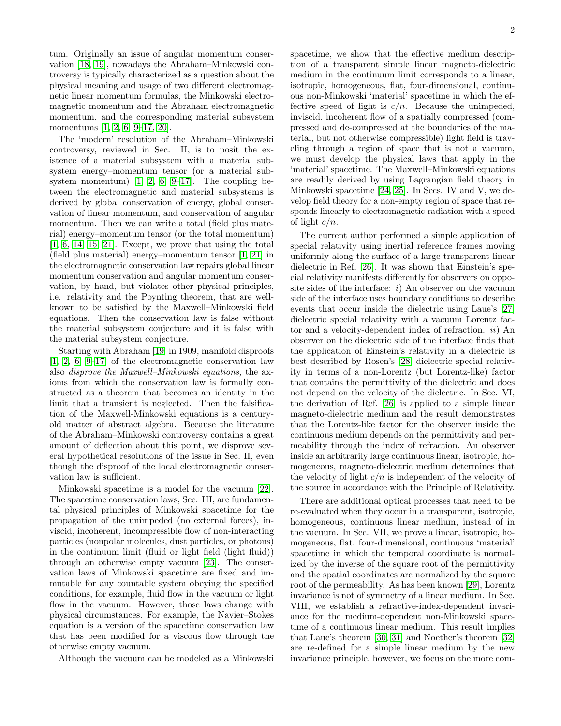tum. Originally an issue of angular momentum conservation [\[18,](#page-18-7) [19\]](#page-18-8), nowadays the Abraham–Minkowski controversy is typically characterized as a question about the physical meaning and usage of two different electromagnetic linear momentum formulas, the Minkowski electromagnetic momentum and the Abraham electromagnetic momentum, and the corresponding material subsystem momentums [\[1,](#page-18-0) [2,](#page-18-4) [6,](#page-18-2) [9](#page-18-5)[–17,](#page-18-6) [20\]](#page-18-9).

The 'modern' resolution of the Abraham–Minkowski controversy, reviewed in Sec. II, is to posit the existence of a material subsystem with a material subsystem energy–momentum tensor (or a material subsystem momentum)  $\begin{bmatrix} 1, & 2, & 6, & 9-17 \end{bmatrix}$  $\begin{bmatrix} 1, & 2, & 6, & 9-17 \end{bmatrix}$  $\begin{bmatrix} 1, & 2, & 6, & 9-17 \end{bmatrix}$  $\begin{bmatrix} 1, & 2, & 6, & 9-17 \end{bmatrix}$  $\begin{bmatrix} 1, & 2, & 6, & 9-17 \end{bmatrix}$  $\begin{bmatrix} 1, & 2, & 6, & 9-17 \end{bmatrix}$  $\begin{bmatrix} 1, & 2, & 6, & 9-17 \end{bmatrix}$ . The coupling between the electromagnetic and material subsystems is derived by global conservation of energy, global conservation of linear momentum, and conservation of angular momentum. Then we can write a total (field plus material) energy–momentum tensor (or the total momentum)  $[1, 6, 14, 15, 21]$  $[1, 6, 14, 15, 21]$  $[1, 6, 14, 15, 21]$  $[1, 6, 14, 15, 21]$  $[1, 6, 14, 15, 21]$ . Except, we prove that using the total (field plus material) energy–momentum tensor [\[1,](#page-18-0) [21\]](#page-18-12) in the electromagnetic conservation law repairs global linear momentum conservation and angular momentum conservation, by hand, but violates other physical principles, i.e. relativity and the Poynting theorem, that are wellknown to be satisfied by the Maxwell–Minkowski field equations. Then the conservation law is false without the material subsystem conjecture and it is false with the material subsystem conjecture.

Starting with Abraham [\[19\]](#page-18-8) in 1909, manifold disproofs [\[1,](#page-18-0) [2,](#page-18-4) [6,](#page-18-2) [9](#page-18-5)[–17\]](#page-18-6) of the electromagnetic conservation law also disprove the Maxwell–Minkowski equations, the axioms from which the conservation law is formally constructed as a theorem that becomes an identity in the limit that a transient is neglected. Then the falsification of the Maxwell-Minkowski equations is a centuryold matter of abstract algebra. Because the literature of the Abraham–Minkowski controversy contains a great amount of deflection about this point, we disprove several hypothetical resolutions of the issue in Sec. II, even though the disproof of the local electromagnetic conservation law is sufficient.

Minkowski spacetime is a model for the vacuum [\[22\]](#page-19-0). The spacetime conservation laws, Sec. III, are fundamental physical principles of Minkowski spacetime for the propagation of the unimpeded (no external forces), inviscid, incoherent, incompressible flow of non-interacting particles (nonpolar molecules, dust particles, or photons) in the continuum limit (fluid or light field (light fluid)) through an otherwise empty vacuum [\[23\]](#page-19-1). The conservation laws of Minkowski spacetime are fixed and immutable for any countable system obeying the specified conditions, for example, fluid flow in the vacuum or light flow in the vacuum. However, those laws change with physical circumstances. For example, the Navier–Stokes equation is a version of the spacetime conservation law that has been modified for a viscous flow through the otherwise empty vacuum.

Although the vacuum can be modeled as a Minkowski

spacetime, we show that the effective medium description of a transparent simple linear magneto-dielectric medium in the continuum limit corresponds to a linear, isotropic, homogeneous, flat, four-dimensional, continuous non-Minkowski 'material' spacetime in which the effective speed of light is  $c/n$ . Because the unimpeded, inviscid, incoherent flow of a spatially compressed (compressed and de-compressed at the boundaries of the material, but not otherwise compressible) light field is traveling through a region of space that is not a vacuum, we must develop the physical laws that apply in the 'material' spacetime. The Maxwell–Minkowski equations are readily derived by using Lagrangian field theory in Minkowski spacetime [\[24,](#page-19-2) [25\]](#page-19-3). In Secs. IV and V, we develop field theory for a non-empty region of space that responds linearly to electromagnetic radiation with a speed of light  $c/n$ .

The current author performed a simple application of special relativity using inertial reference frames moving uniformly along the surface of a large transparent linear dielectric in Ref. [\[26\]](#page-19-4). It was shown that Einstein's special relativity manifests differently for observers on opposite sides of the interface:  $i$ ) An observer on the vacuum side of the interface uses boundary conditions to describe events that occur inside the dielectric using Laue's [\[27\]](#page-19-5) dielectric special relativity with a vacuum Lorentz factor and a velocity-dependent index of refraction. ii) An observer on the dielectric side of the interface finds that the application of Einstein's relativity in a dielectric is best described by Rosen's [\[28\]](#page-19-6) dielectric special relativity in terms of a non-Lorentz (but Lorentz-like) factor that contains the permittivity of the dielectric and does not depend on the velocity of the dielectric. In Sec. VI, the derivation of Ref. [\[26\]](#page-19-4) is applied to a simple linear magneto-dielectric medium and the result demonstrates that the Lorentz-like factor for the observer inside the continuous medium depends on the permittivity and permeability through the index of refraction. An observer inside an arbitrarily large continuous linear, isotropic, homogeneous, magneto-dielectric medium determines that the velocity of light  $c/n$  is independent of the velocity of the source in accordance with the Principle of Relativity.

There are additional optical processes that need to be re-evaluated when they occur in a transparent, isotropic, homogeneous, continuous linear medium, instead of in the vacuum. In Sec. VII, we prove a linear, isotropic, homogeneous, flat, four-dimensional, continuous 'material' spacetime in which the temporal coordinate is normalized by the inverse of the square root of the permittivity and the spatial coordinates are normalized by the square root of the permeability. As has been known [\[29\]](#page-19-7), Lorentz invariance is not of symmetry of a linear medium. In Sec. VIII, we establish a refractive-index-dependent invariance for the medium-dependent non-Minkowski spacetime of a continuous linear medium. This result implies that Laue's theorem [\[30,](#page-19-8) [31\]](#page-19-9) and Noether's theorem [\[32\]](#page-19-10) are re-defined for a simple linear medium by the new invariance principle, however, we focus on the more com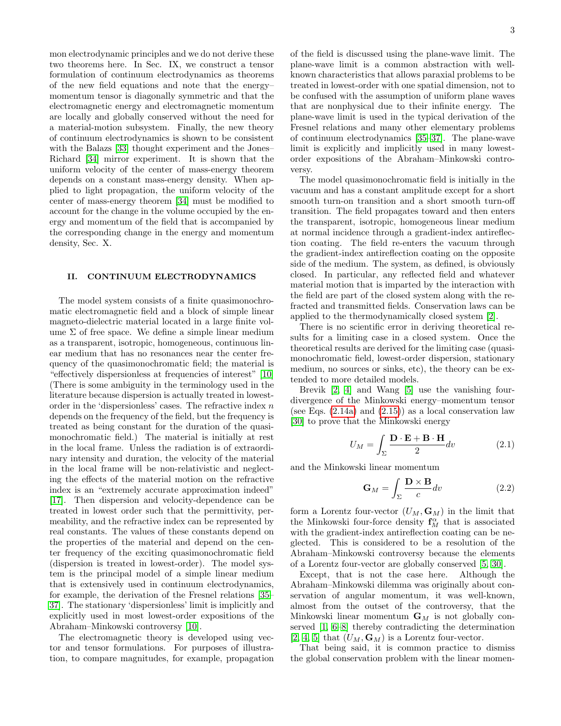mon electrodynamic principles and we do not derive these two theorems here. In Sec. IX, we construct a tensor formulation of continuum electrodynamics as theorems of the new field equations and note that the energy– momentum tensor is diagonally symmetric and that the electromagnetic energy and electromagnetic momentum are locally and globally conserved without the need for a material-motion subsystem. Finally, the new theory of continuum electrodynamics is shown to be consistent with the Balazs [\[33\]](#page-19-11) thought experiment and the Jones– Richard [\[34\]](#page-19-12) mirror experiment. It is shown that the uniform velocity of the center of mass-energy theorem depends on a constant mass-energy density. When applied to light propagation, the uniform velocity of the center of mass-energy theorem [\[34\]](#page-19-12) must be modified to account for the change in the volume occupied by the energy and momentum of the field that is accompanied by the corresponding change in the energy and momentum density, Sec. X.

# II. CONTINUUM ELECTRODYNAMICS

The model system consists of a finite quasimonochromatic electromagnetic field and a block of simple linear magneto-dielectric material located in a large finite volume  $\Sigma$  of free space. We define a simple linear medium as a transparent, isotropic, homogeneous, continuous linear medium that has no resonances near the center frequency of the quasimonochromatic field; the material is "effectively dispersionless at frequencies of interest" [\[10\]](#page-18-13) (There is some ambiguity in the terminology used in the literature because dispersion is actually treated in lowestorder in the 'dispersionless' cases. The refractive index  $n$ depends on the frequency of the field, but the frequency is treated as being constant for the duration of the quasimonochromatic field.) The material is initially at rest in the local frame. Unless the radiation is of extraordinary intensity and duration, the velocity of the material in the local frame will be non-relativistic and neglecting the effects of the material motion on the refractive index is an "extremely accurate approximation indeed" [\[17\]](#page-18-6). Then dispersion and velocity-dependence can be treated in lowest order such that the permittivity, permeability, and the refractive index can be represented by real constants. The values of these constants depend on the properties of the material and depend on the center frequency of the exciting quasimonochromatic field (dispersion is treated in lowest-order). The model system is the principal model of a simple linear medium that is extensively used in continuum electrodynamics, for example, the derivation of the Fresnel relations [\[35–](#page-19-13) [37\]](#page-19-14). The stationary 'dispersionless' limit is implicitly and explicitly used in most lowest-order expositions of the Abraham–Minkowski controversy [\[10\]](#page-18-13).

The electromagnetic theory is developed using vector and tensor formulations. For purposes of illustration, to compare magnitudes, for example, propagation of the field is discussed using the plane-wave limit. The plane-wave limit is a common abstraction with wellknown characteristics that allows paraxial problems to be treated in lowest-order with one spatial dimension, not to be confused with the assumption of uniform plane waves that are nonphysical due to their infinite energy. The plane-wave limit is used in the typical derivation of the Fresnel relations and many other elementary problems of continuum electrodynamics [\[35–](#page-19-13)[37\]](#page-19-14). The plane-wave limit is explicitly and implicitly used in many lowestorder expositions of the Abraham–Minkowski controversy.

The model quasimonochromatic field is initially in the vacuum and has a constant amplitude except for a short smooth turn-on transition and a short smooth turn-off transition. The field propagates toward and then enters the transparent, isotropic, homogeneous linear medium at normal incidence through a gradient-index antireflection coating. The field re-enters the vacuum through the gradient-index antireflection coating on the opposite side of the medium. The system, as defined, is obviously closed. In particular, any reflected field and whatever material motion that is imparted by the interaction with the field are part of the closed system along with the refracted and transmitted fields. Conservation laws can be applied to the thermodynamically closed system [\[2\]](#page-18-4).

There is no scientific error in deriving theoretical results for a limiting case in a closed system. Once the theoretical results are derived for the limiting case (quasimonochromatic field, lowest-order dispersion, stationary medium, no sources or sinks, etc), the theory can be extended to more detailed models.

Brevik [\[2,](#page-18-4) [4\]](#page-18-14) and Wang [\[5\]](#page-18-1) use the vanishing fourdivergence of the Minkowski energy–momentum tensor (see Eqs. [\(2.14a\)](#page-5-1) and [\(2.15\)](#page-5-0)) as a local conservation law [\[30\]](#page-19-8) to prove that the Minkowski energy

$$
U_M = \int_{\Sigma} \frac{\mathbf{D} \cdot \mathbf{E} + \mathbf{B} \cdot \mathbf{H}}{2} dv \qquad (2.1)
$$

and the Minkowski linear momentum

$$
\mathbf{G}_M = \int_{\Sigma} \frac{\mathbf{D} \times \mathbf{B}}{c} dv \tag{2.2}
$$

form a Lorentz four-vector  $(U_M, \mathbf{G}_M)$  in the limit that the Minkowski four-force density  $\mathbf{f}_M^{\alpha}$  that is associated with the gradient-index antireflection coating can be neglected. This is considered to be a resolution of the Abraham–Minkowski controversy because the elements of a Lorentz four-vector are globally conserved [\[5,](#page-18-1) [30\]](#page-19-8).

Except, that is not the case here. Although the Abraham–Minkowski dilemma was originally about conservation of angular momentum, it was well-known, almost from the outset of the controversy, that the Minkowski linear momentum  $G_M$  is not globally conserved [\[1,](#page-18-0) [6–](#page-18-2)[8\]](#page-18-3) thereby contradicting the determination [\[2,](#page-18-4) [4,](#page-18-14) [5\]](#page-18-1) that  $(U_M, \mathbf{G}_M)$  is a Lorentz four-vector.

That being said, it is common practice to dismiss the global conservation problem with the linear momen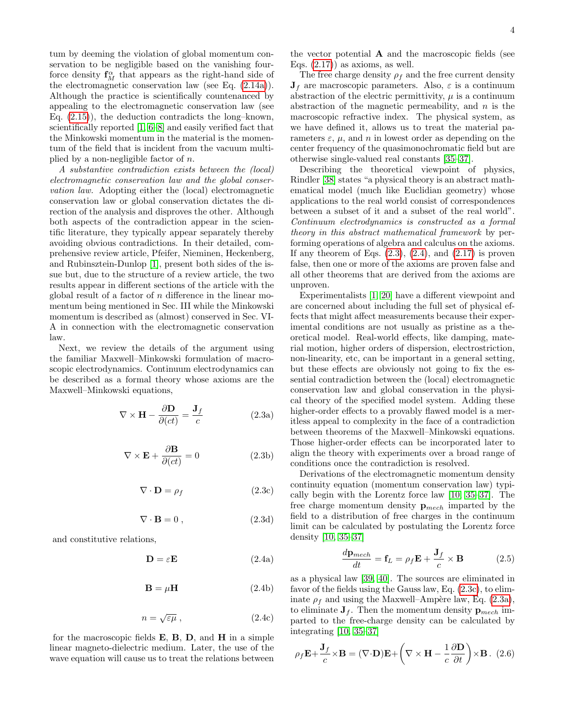tum by deeming the violation of global momentum conservation to be negligible based on the vanishing fourforce density  $\mathbf{f}_M^{\alpha}$  that appears as the right-hand side of the electromagnetic conservation law (see Eq. [\(2.14a\)](#page-5-1)). Although the practice is scientifically countenanced by appealing to the electromagnetic conservation law (see Eq. [\(2.15\)](#page-5-0)), the deduction contradicts the long–known, scientifically reported [\[1,](#page-18-0) [6](#page-18-2)[–8\]](#page-18-3) and easily verified fact that the Minkowski momentum in the material is the momentum of the field that is incident from the vacuum multiplied by a non-negligible factor of  $n$ .

A substantive contradiction exists between the (local) electromagnetic conservation law and the global conservation law. Adopting either the (local) electromagnetic conservation law or global conservation dictates the direction of the analysis and disproves the other. Although both aspects of the contradiction appear in the scientific literature, they typically appear separately thereby avoiding obvious contradictions. In their detailed, comprehensive review article, Pfeifer, Nieminen, Heckenberg, and Rubinsztein-Dunlop [\[1\]](#page-18-0), present both sides of the issue but, due to the structure of a review article, the two results appear in different sections of the article with the global result of a factor of  $n$  difference in the linear momentum being mentioned in Sec. III while the Minkowski momentum is described as (almost) conserved in Sec. VI-A in connection with the electromagnetic conservation law.

Next, we review the details of the argument using the familiar Maxwell–Minkowski formulation of macroscopic electrodynamics. Continuum electrodynamics can be described as a formal theory whose axioms are the Maxwell–Minkowski equations,

<span id="page-3-3"></span>
$$
\nabla \times \mathbf{H} - \frac{\partial \mathbf{D}}{\partial (ct)} = \frac{\mathbf{J}_f}{c}
$$
 (2.3a)

<span id="page-3-4"></span>
$$
\nabla \times \mathbf{E} + \frac{\partial \mathbf{B}}{\partial (ct)} = 0
$$
 (2.3b)

<span id="page-3-2"></span>
$$
\nabla \cdot \mathbf{D} = \rho_f \tag{2.3c}
$$

<span id="page-3-0"></span>
$$
\nabla \cdot \mathbf{B} = 0 \,, \tag{2.3d}
$$

and constitutive relations,

$$
\mathbf{D} = \varepsilon \mathbf{E} \tag{2.4a}
$$

$$
\mathbf{B} = \mu \mathbf{H} \tag{2.4b}
$$

<span id="page-3-1"></span>
$$
n = \sqrt{\varepsilon \mu} \,,\tag{2.4c}
$$

for the macroscopic fields  $E$ ,  $B$ ,  $D$ , and  $H$  in a simple linear magneto-dielectric medium. Later, the use of the wave equation will cause us to treat the relations between

the vector potential  $\bf{A}$  and the macroscopic fields (see Eqs.  $(2.17)$  as axioms, as well.

The free charge density  $\rho_f$  and the free current density  $J_f$  are macroscopic parameters. Also,  $\varepsilon$  is a continuum abstraction of the electric permittivity,  $\mu$  is a continuum abstraction of the magnetic permeability, and  $n$  is the macroscopic refractive index. The physical system, as we have defined it, allows us to treat the material parameters  $\varepsilon$ ,  $\mu$ , and  $n$  in lowest order as depending on the center frequency of the quasimonochromatic field but are otherwise single-valued real constants [\[35–](#page-19-13)[37\]](#page-19-14).

Describing the theoretical viewpoint of physics, Rindler [\[38\]](#page-19-15) states "a physical theory is an abstract mathematical model (much like Euclidian geometry) whose applications to the real world consist of correspondences between a subset of it and a subset of the real world". Continuum electrodynamics is constructed as a formal theory in this abstract mathematical framework by performing operations of algebra and calculus on the axioms. If any theorem of Eqs.  $(2.3)$ ,  $(2.4)$ , and  $(2.17)$  is proven false, then one or more of the axioms are proven false and all other theorems that are derived from the axioms are unproven.

Experimentalists [\[1,](#page-18-0) [20\]](#page-18-9) have a different viewpoint and are concerned about including the full set of physical effects that might affect measurements because their experimental conditions are not usually as pristine as a theoretical model. Real-world effects, like damping, material motion, higher orders of dispersion, electrostriction, non-linearity, etc, can be important in a general setting, but these effects are obviously not going to fix the essential contradiction between the (local) electromagnetic conservation law and global conservation in the physical theory of the specified model system. Adding these higher-order effects to a provably flawed model is a meritless appeal to complexity in the face of a contradiction between theorems of the Maxwell–Minkowski equations. Those higher-order effects can be incorporated later to align the theory with experiments over a broad range of conditions once the contradiction is resolved.

Derivations of the electromagnetic momentum density continuity equation (momentum conservation law) typically begin with the Lorentz force law [\[10,](#page-18-13) [35–](#page-19-13)[37\]](#page-19-14). The free charge momentum density  $\mathbf{p}_{mech}$  imparted by the field to a distribution of free charges in the continuum limit can be calculated by postulating the Lorentz force density [\[10,](#page-18-13) [35](#page-19-13)[–37\]](#page-19-14)

<span id="page-3-6"></span>
$$
\frac{d\mathbf{p}_{mech}}{dt} = \mathbf{f}_L = \rho_f \mathbf{E} + \frac{\mathbf{J}_f}{c} \times \mathbf{B}
$$
 (2.5)

as a physical law [\[39,](#page-19-16) [40\]](#page-19-17). The sources are eliminated in favor of the fields using the Gauss law, Eq. [\(2.3c\)](#page-3-2), to eliminate  $\rho_f$  and using the Maxwell–Ampère law, Eq. [\(2.3a\)](#page-3-3), to eliminate  $J_f$ . Then the momentum density  $p_{mech}$  imparted to the free-charge density can be calculated by integrating [\[10,](#page-18-13) [35](#page-19-13)[–37\]](#page-19-14)

<span id="page-3-5"></span>
$$
\rho_f \mathbf{E} + \frac{\mathbf{J}_f}{c} \times \mathbf{B} = (\nabla \cdot \mathbf{D}) \mathbf{E} + \left(\nabla \times \mathbf{H} - \frac{1}{c} \frac{\partial \mathbf{D}}{\partial t}\right) \times \mathbf{B}.
$$
 (2.6)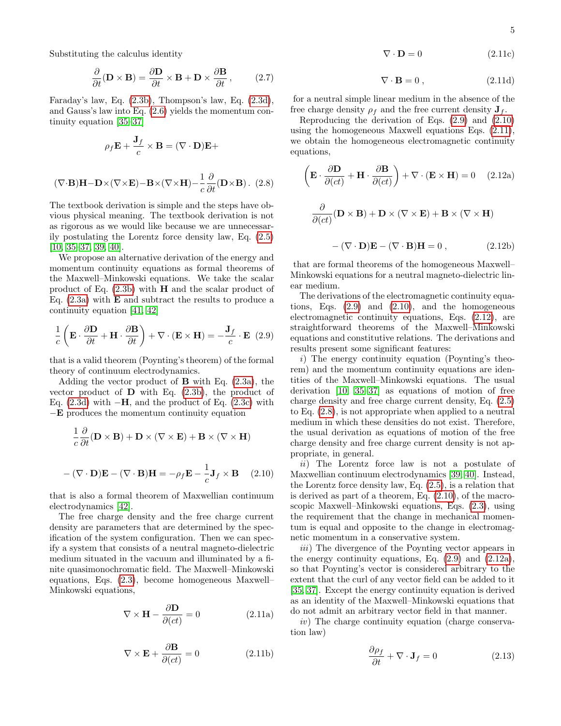Substituting the calculus identity

$$
\frac{\partial}{\partial t}(\mathbf{D} \times \mathbf{B}) = \frac{\partial \mathbf{D}}{\partial t} \times \mathbf{B} + \mathbf{D} \times \frac{\partial \mathbf{B}}{\partial t},\qquad(2.7)
$$

Faraday's law, Eq. [\(2.3b\)](#page-3-4), Thompson's law, Eq. [\(2.3d\)](#page-3-0), and Gauss's law into Eq. [\(2.6\)](#page-3-5) yields the momentum continuity equation [\[35–](#page-19-13)[37\]](#page-19-14)

$$
\rho_f \mathbf{E} + \frac{\mathbf{J}_f}{c} \times \mathbf{B} = (\nabla \cdot \mathbf{D})\mathbf{E} +
$$

<span id="page-4-4"></span>
$$
(\nabla \cdot \mathbf{B})\mathbf{H} - \mathbf{D} \times (\nabla \times \mathbf{E}) - \mathbf{B} \times (\nabla \times \mathbf{H}) - \frac{1}{c} \frac{\partial}{\partial t} (\mathbf{D} \times \mathbf{B}). \tag{2.8}
$$

The textbook derivation is simple and the steps have obvious physical meaning. The textbook derivation is not as rigorous as we would like because we are unnecessarily postulating the Lorentz force density law, Eq. [\(2.5\)](#page-3-6)  $[10, 35-37, 39, 40].$  $[10, 35-37, 39, 40].$  $[10, 35-37, 39, 40].$  $[10, 35-37, 39, 40].$  $[10, 35-37, 39, 40].$  $[10, 35-37, 39, 40].$ 

We propose an alternative derivation of the energy and momentum continuity equations as formal theorems of the Maxwell–Minkowski equations. We take the scalar product of Eq. [\(2.3b\)](#page-3-4) with H and the scalar product of Eq.  $(2.3a)$  with **E** and subtract the results to produce a continuity equation [\[41,](#page-19-18) [42\]](#page-19-19)

<span id="page-4-0"></span>
$$
\frac{1}{c}\left(\mathbf{E}\cdot\frac{\partial \mathbf{D}}{\partial t} + \mathbf{H}\cdot\frac{\partial \mathbf{B}}{\partial t}\right) + \nabla\cdot(\mathbf{E}\times\mathbf{H}) = -\frac{\mathbf{J}_f}{c}\cdot\mathbf{E} \tag{2.9}
$$

that is a valid theorem (Poynting's theorem) of the formal theory of continuum electrodynamics.

Adding the vector product of  $\bf{B}$  with Eq. [\(2.3a\)](#page-3-3), the vector product of  $D$  with Eq.  $(2.3b)$ , the product of Eq.  $(2.3d)$  with  $-\mathbf{H}$ , and the product of Eq.  $(2.3c)$  with −E produces the momentum continuity equation

$$
\frac{1}{c}\frac{\partial}{\partial t}(\mathbf{D}\times\mathbf{B}) + \mathbf{D}\times(\nabla\times\mathbf{E}) + \mathbf{B}\times(\nabla\times\mathbf{H})
$$

$$
-(\nabla\cdot\mathbf{D})\mathbf{E} - (\nabla\cdot\mathbf{B})\mathbf{H} = -\rho_f\mathbf{E} - \frac{1}{c}\mathbf{J}_f\times\mathbf{B} \quad (2.10)
$$

<span id="page-4-1"></span>that is also a formal theorem of Maxwellian continuum electrodynamics [\[42\]](#page-19-19).

The free charge density and the free charge current density are parameters that are determined by the specification of the system configuration. Then we can specify a system that consists of a neutral magneto-dielectric medium situated in the vacuum and illuminated by a finite quasimonochromatic field. The Maxwell–Minkowski equations, Eqs. [\(2.3\)](#page-3-0), become homogeneous Maxwell– Minkowski equations,

<span id="page-4-6"></span>
$$
\nabla \times \mathbf{H} - \frac{\partial \mathbf{D}}{\partial (ct)} = 0 \tag{2.11a}
$$

$$
\nabla \times \mathbf{E} + \frac{\partial \mathbf{B}}{\partial (ct)} = 0 \tag{2.11b}
$$

$$
\nabla \cdot \mathbf{D} = 0 \tag{2.11c}
$$

<span id="page-4-2"></span>
$$
\nabla \cdot \mathbf{B} = 0 \,, \tag{2.11d}
$$

for a neutral simple linear medium in the absence of the free charge density  $\rho_f$  and the free current density  $\mathbf{J}_f$ .

Reproducing the derivation of Eqs. [\(2.9\)](#page-4-0) and [\(2.10\)](#page-4-1) using the homogeneous Maxwell equations Eqs. [\(2.11\)](#page-4-2), we obtain the homogeneous electromagnetic continuity equations,

<span id="page-4-5"></span>
$$
\left(\mathbf{E} \cdot \frac{\partial \mathbf{D}}{\partial(ct)} + \mathbf{H} \cdot \frac{\partial \mathbf{B}}{\partial(ct)}\right) + \nabla \cdot (\mathbf{E} \times \mathbf{H}) = 0 \quad (2.12a)
$$
  

$$
\frac{\partial}{\partial(ct)} (\mathbf{D} \times \mathbf{B}) + \mathbf{D} \times (\nabla \times \mathbf{E}) + \mathbf{B} \times (\nabla \times \mathbf{H})
$$

$$
-(\nabla \cdot \mathbf{D})\mathbf{E} - (\nabla \cdot \mathbf{B})\mathbf{H} = 0 , \quad (2.12b)
$$

<span id="page-4-3"></span>that are formal theorems of the homogeneous Maxwell– Minkowski equations for a neutral magneto-dielectric linear medium.

The derivations of the electromagnetic continuity equations, Eqs.  $(2.9)$  and  $(2.10)$ , and the homogeneous electromagnetic continuity equations, Eqs. [\(2.12\)](#page-4-3), are straightforward theorems of the Maxwell–Minkowski equations and constitutive relations. The derivations and results present some significant features:

i) The energy continuity equation (Poynting's theorem) and the momentum continuity equations are identities of the Maxwell–Minkowski equations. The usual derivation [\[10,](#page-18-13) [35](#page-19-13)[–37\]](#page-19-14) as equations of motion of free charge density and free charge current density, Eq. [\(2.5\)](#page-3-6) to Eq. [\(2.8\)](#page-4-4), is not appropriate when applied to a neutral medium in which these densities do not exist. Therefore, the usual derivation as equations of motion of the free charge density and free charge current density is not appropriate, in general.

ii) The Lorentz force law is not a postulate of Maxwellian continuum electrodynamics [\[39,](#page-19-16) [40\]](#page-19-17). Instead, the Lorentz force density law, Eq. [\(2.5\)](#page-3-6), is a relation that is derived as part of a theorem, Eq. [\(2.10\)](#page-4-1), of the macroscopic Maxwell–Minkowski equations, Eqs. [\(2.3\)](#page-3-0), using the requirement that the change in mechanical momentum is equal and opposite to the change in electromagnetic momentum in a conservative system.

iii) The divergence of the Poynting vector appears in the energy continuity equations, Eq.  $(2.9)$  and  $(2.12a)$ , so that Poynting's vector is considered arbitrary to the extent that the curl of any vector field can be added to it [\[35,](#page-19-13) [37\]](#page-19-14). Except the energy continuity equation is derived as an identity of the Maxwell–Minkowski equations that do not admit an arbitrary vector field in that manner.

 $iv$ ) The charge continuity equation (charge conservation law)

$$
\frac{\partial \rho_f}{\partial t} + \nabla \cdot \mathbf{J}_f = 0 \tag{2.13}
$$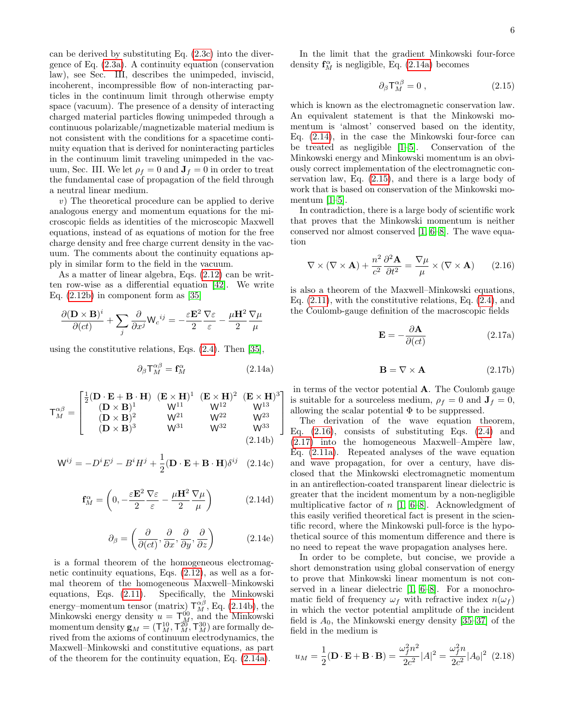can be derived by substituting Eq. [\(2.3c\)](#page-3-2) into the divergence of Eq. [\(2.3a\)](#page-3-3). A continuity equation (conservation law), see Sec. III, describes the unimpeded, inviscid, incoherent, incompressible flow of non-interacting particles in the continuum limit through otherwise empty space (vacuum). The presence of a density of interacting charged material particles flowing unimpeded through a continuous polarizable/magnetizable material medium is not consistent with the conditions for a spacetime continuity equation that is derived for noninteracting particles in the continuum limit traveling unimpeded in the vacuum, Sec. III. We let  $\rho_f = 0$  and  $\mathbf{J}_f = 0$  in order to treat the fundamental case of propagation of the field through a neutral linear medium.

v) The theoretical procedure can be applied to derive analogous energy and momentum equations for the microscopic fields as identities of the microscopic Maxwell equations, instead of as equations of motion for the free charge density and free charge current density in the vacuum. The comments about the continuity equations apply in similar form to the field in the vacuum.

As a matter of linear algebra, Eqs. [\(2.12\)](#page-4-3) can be written row-wise as a differential equation [\[42\]](#page-19-19). We write Eq. [\(2.12b\)](#page-4-3) in component form as [\[35\]](#page-19-13)

$$
\frac{\partial (\mathbf{D} \times \mathbf{B})^i}{\partial (ct)} + \sum_j \frac{\partial}{\partial x^j} \mathsf{W}_c^{-ij} = - \frac{\varepsilon \mathbf{E}^2}{2} \frac{\nabla \varepsilon}{\varepsilon} - \frac{\mu \mathbf{H}^2}{2} \frac{\nabla \mu}{\mu}
$$

using the constitutive relations, Eqs. [\(2.4\)](#page-3-1). Then [\[35\]](#page-19-13),

<span id="page-5-1"></span>
$$
\partial_{\beta} \mathsf{T}_{M}^{\alpha\beta} = \mathbf{f}_{M}^{\alpha} \tag{2.14a}
$$

1  $\perp$  $\overline{1}$  $\overline{1}$ 

<span id="page-5-3"></span>
$$
\mathsf{T}_{M}^{\alpha\beta} = \begin{bmatrix} \frac{1}{2} (\mathbf{D} \cdot \mathbf{E} + \mathbf{B} \cdot \mathbf{H}) & (\mathbf{E} \times \mathbf{H})^{1} & (\mathbf{E} \times \mathbf{H})^{2} & (\mathbf{E} \times \mathbf{H})^{3} \\ (\mathbf{D} \times \mathbf{B})^{1} & \mathsf{W}^{11} & \mathsf{W}^{12} & \mathsf{W}^{13} \\ (\mathbf{D} \times \mathbf{B})^{2} & \mathsf{W}^{21} & \mathsf{W}^{22} & \mathsf{W}^{23} \\ (\mathbf{D} \times \mathbf{B})^{3} & \mathsf{W}^{31} & \mathsf{W}^{32} & \mathsf{W}^{33} \\ & & & & & & \\ (2.14b) & & & & & \end{bmatrix}
$$

$$
\mathbf{W}^{ij} = -D^i E^j - B^i H^j + \frac{1}{2} (\mathbf{D} \cdot \mathbf{E} + \mathbf{B} \cdot \mathbf{H}) \delta^{ij} \quad (2.14c)
$$

$$
\mathbf{f}_M^{\alpha} = \left(0, -\frac{\varepsilon \mathbf{E}^2}{2} \frac{\nabla \varepsilon}{\varepsilon} - \frac{\mu \mathbf{H}^2}{2} \frac{\nabla \mu}{\mu}\right) \tag{2.14d}
$$

<span id="page-5-4"></span>
$$
\partial_{\beta} = \left(\frac{\partial}{\partial (ct)}, \frac{\partial}{\partial x}, \frac{\partial}{\partial y}, \frac{\partial}{\partial z}\right) \tag{2.14e}
$$

is a formal theorem of the homogeneous electromagnetic continuity equations, Eqs. [\(2.12\)](#page-4-3), as well as a formal theorem of the homogeneous Maxwell–Minkowski equations, Eqs. [\(2.11\)](#page-4-2). Specifically, the Minkowski energy–momentum tensor (matrix)  $T_M^{\alpha\beta}$ , Eq. [\(2.14b\)](#page-5-3), the Minkowski energy density  $u = \mathsf{T}_{\mathcal{M}}^{00}$ , and the Minkowski momentum density  $\mathbf{g}_M = (\mathsf{T}^{10}_M, \mathsf{T}^{20}_M, \mathsf{T}^{30}_M)$  are formally derived from the axioms of continuum electrodynamics, the Maxwell–Minkowski and constitutive equations, as part of the theorem for the continuity equation, Eq. [\(2.14a\)](#page-5-1).

In the limit that the gradient Minkowski four-force density  $\mathbf{f}_M^{\alpha}$  is negligible, Eq. [\(2.14a\)](#page-5-1) becomes

<span id="page-5-0"></span>
$$
\partial_{\beta} \mathsf{T}_{M}^{\alpha\beta} = 0 , \qquad (2.15)
$$

which is known as the electromagnetic conservation law. An equivalent statement is that the Minkowski momentum is 'almost' conserved based on the identity, Eq. [\(2.14\)](#page-5-4), in the case the Minkowski four-force can be treated as negligible [\[1](#page-18-0)[–5\]](#page-18-1). Conservation of the Minkowski energy and Minkowski momentum is an obviously correct implementation of the electromagnetic conservation law, Eq. [\(2.15\)](#page-5-0), and there is a large body of work that is based on conservation of the Minkowski momentum  $[1-5]$  $[1-5]$ .

In contradiction, there is a large body of scientific work that proves that the Minkowski momentum is neither conserved nor almost conserved [\[1,](#page-18-0) [6–](#page-18-2)[8\]](#page-18-3). The wave equation

<span id="page-5-5"></span>
$$
\nabla \times (\nabla \times \mathbf{A}) + \frac{n^2}{c^2} \frac{\partial^2 \mathbf{A}}{\partial t^2} = \frac{\nabla \mu}{\mu} \times (\nabla \times \mathbf{A}) \qquad (2.16)
$$

is also a theorem of the Maxwell–Minkowski equations, Eq. [\(2.11\)](#page-4-2), with the constitutive relations, Eq. [\(2.4\)](#page-3-1), and the Coulomb-gauge definition of the macroscopic fields

$$
\mathbf{E} = -\frac{\partial \mathbf{A}}{\partial (ct)} \tag{2.17a}
$$

<span id="page-5-2"></span>
$$
\mathbf{B} = \nabla \times \mathbf{A} \tag{2.17b}
$$

in terms of the vector potential A. The Coulomb gauge is suitable for a sourceless medium,  $\rho_f = 0$  and  $\mathbf{J}_f = 0$ , allowing the scalar potential  $\Phi$  to be suppressed.

The derivation of the wave equation theorem, Eq.  $(2.16)$ , consists of substituting Eqs.  $(2.4)$  and  $(2.17)$  into the homogeneous Maxwell–Ampère law, Eq. [\(2.11a\)](#page-4-6). Repeated analyses of the wave equation and wave propagation, for over a century, have disclosed that the Minkowski electromagnetic momentum in an antireflection-coated transparent linear dielectric is greater that the incident momentum by a non-negligible multiplicative factor of  $n \; [1, 6-8]$  $n \; [1, 6-8]$  $n \; [1, 6-8]$  $n \; [1, 6-8]$ . Acknowledgment of this easily verified theoretical fact is present in the scientific record, where the Minkowski pull-force is the hypothetical source of this momentum difference and there is no need to repeat the wave propagation analyses here.

In order to be complete, but concise, we provide a short demonstration using global conservation of energy to prove that Minkowski linear momentum is not conserved in a linear dielectric [\[1,](#page-18-0) [6–](#page-18-2)[8\]](#page-18-3). For a monochromatic field of frequency  $\omega_f$  with refractive index  $n(\omega_f)$ in which the vector potential amplitude of the incident field is  $A_0$ , the Minkowski energy density [\[35–](#page-19-13)[37\]](#page-19-14) of the field in the medium is

$$
u_M = \frac{1}{2}(\mathbf{D} \cdot \mathbf{E} + \mathbf{B} \cdot \mathbf{B}) = \frac{\omega_f^2 n^2}{2c^2} |A|^2 = \frac{\omega_f^2 n}{2c^2} |A_0|^2 \tag{2.18}
$$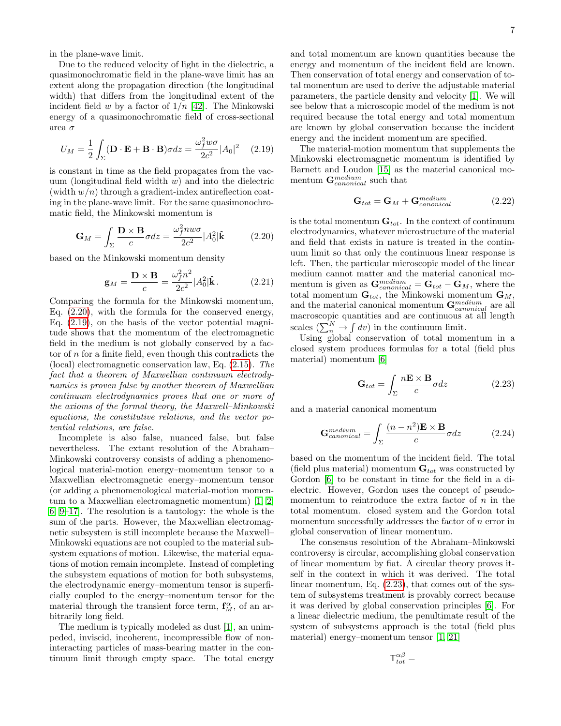in the plane-wave limit.

Due to the reduced velocity of light in the dielectric, a quasimonochromatic field in the plane-wave limit has an extent along the propagation direction (the longitudinal width) that differs from the longitudinal extent of the incident field w by a factor of  $1/n$  [\[42\]](#page-19-19). The Minkowski energy of a quasimonochromatic field of cross-sectional area σ

<span id="page-6-1"></span>
$$
U_M = \frac{1}{2} \int_{\Sigma} (\mathbf{D} \cdot \mathbf{E} + \mathbf{B} \cdot \mathbf{B}) \sigma dz = \frac{\omega_f^2 w \sigma}{2c^2} |A_0|^2 \quad (2.19)
$$

is constant in time as the field propagates from the vacuum (longitudinal field width  $w$ ) and into the dielectric (width  $w/n$ ) through a gradient-index antireflection coating in the plane-wave limit. For the same quasimonochromatic field, the Minkowski momentum is

<span id="page-6-0"></span>
$$
\mathbf{G}_M = \int_{\Sigma} \frac{\mathbf{D} \times \mathbf{B}}{c} \sigma dz = \frac{\omega_f^2 n w \sigma}{2c^2} |A_0^2| \hat{\mathbf{k}} \tag{2.20}
$$

based on the Minkowski momentum density

$$
\mathbf{g}_M = \frac{\mathbf{D} \times \mathbf{B}}{c} = \frac{\omega_f^2 n^2}{2c^2} |A_0^2| \hat{\mathbf{k}}.
$$
 (2.21)

Comparing the formula for the Minkowski momentum, Eq. [\(2.20\)](#page-6-0), with the formula for the conserved energy, Eq. [\(2.19\)](#page-6-1), on the basis of the vector potential magnitude shows that the momentum of the electromagnetic field in the medium is not globally conserved by a factor of  $n$  for a finite field, even though this contradicts the (local) electromagnetic conservation law, Eq. [\(2.15\)](#page-5-0). The fact that a theorem of Maxwellian continuum electrodynamics is proven false by another theorem of Maxwellian continuum electrodynamics proves that one or more of the axioms of the formal theory, the Maxwell–Minkowski equations, the constitutive relations, and the vector potential relations, are false.

Incomplete is also false, nuanced false, but false nevertheless. The extant resolution of the Abraham– Minkowski controversy consists of adding a phenomenological material-motion energy–momentum tensor to a Maxwellian electromagnetic energy–momentum tensor (or adding a phenomenological material-motion momentum to a Maxwellian electromagnetic momentum) [\[1,](#page-18-0) [2,](#page-18-4) [6,](#page-18-2) [9](#page-18-5)[–17\]](#page-18-6). The resolution is a tautology: the whole is the sum of the parts. However, the Maxwellian electromagnetic subsystem is still incomplete because the Maxwell– Minkowski equations are not coupled to the material subsystem equations of motion. Likewise, the material equations of motion remain incomplete. Instead of completing the subsystem equations of motion for both subsystems, the electrodynamic energy–momentum tensor is superficially coupled to the energy–momentum tensor for the material through the transient force term,  $\mathbf{f}_M^{\alpha}$ , of an arbitrarily long field.

The medium is typically modeled as dust [\[1\]](#page-18-0), an unimpeded, inviscid, incoherent, incompressible flow of noninteracting particles of mass-bearing matter in the continuum limit through empty space. The total energy

and total momentum are known quantities because the energy and momentum of the incident field are known. Then conservation of total energy and conservation of total momentum are used to derive the adjustable material parameters, the particle density and velocity [\[1\]](#page-18-0). We will see below that a microscopic model of the medium is not required because the total energy and total momentum are known by global conservation because the incident energy and the incident momentum are specified.

The material-motion momentum that supplements the Minkowski electromagnetic momentum is identified by Barnett and Loudon [\[15\]](#page-18-11) as the material canonical momentum  $\mathbf{G}_{canonical}^{medium}$  such that

$$
\mathbf{G}_{tot} = \mathbf{G}_M + \mathbf{G}_{canonical}^{medium} \tag{2.22}
$$

is the total momentum  $\mathbf{G}_{tot}$ . In the context of continuum electrodynamics, whatever microstructure of the material and field that exists in nature is treated in the continuum limit so that only the continuous linear response is left. Then, the particular microscopic model of the linear medium cannot matter and the material canonical momentum is given as  $\mathbf{G}_{canonical}^{medium} = \mathbf{G}_{tot} - \mathbf{G}_{M}$ , where the total momentum  $\mathbf{G}_{tot}$ , the Minkowski momentum  $\mathbf{G}_M$ , and the material canonical momentum  $\mathbf{G}_{canonical}^{medium}$  are all macroscopic quantities and are continuous at all length scales  $\left(\sum_{n}^{N} \rightarrow \int dv\right)$  in the continuum limit.

Using global conservation of total momentum in a closed system produces formulas for a total (field plus material) momentum [\[6\]](#page-18-2)

<span id="page-6-2"></span>
$$
\mathbf{G}_{tot} = \int_{\Sigma} \frac{n\mathbf{E} \times \mathbf{B}}{c} \sigma dz \qquad (2.23)
$$

and a material canonical momentum

$$
\mathbf{G}_{canonical}^{medium} = \int_{\Sigma} \frac{(n - n^2)\mathbf{E} \times \mathbf{B}}{c} \sigma dz
$$
 (2.24)

based on the momentum of the incident field. The total (field plus material) momentum  $\mathbf{G}_{tot}$  was constructed by Gordon [\[6\]](#page-18-2) to be constant in time for the field in a dielectric. However, Gordon uses the concept of pseudomomentum to reintroduce the extra factor of  $n$  in the total momentum. closed system and the Gordon total momentum successfully addresses the factor of  $n$  error in global conservation of linear momentum.

The consensus resolution of the Abraham–Minkowski controversy is circular, accomplishing global conservation of linear momentum by fiat. A circular theory proves itself in the context in which it was derived. The total linear momentum, Eq. [\(2.23\)](#page-6-2), that comes out of the system of subsystems treatment is provably correct because it was derived by global conservation principles [\[6\]](#page-18-2). For a linear dielectric medium, the penultimate result of the system of subsystems approach is the total (field plus material) energy–momentum tensor [\[1,](#page-18-0) [21\]](#page-18-12)

$$
\mathsf{T}^{\alpha\beta}_{tot} =
$$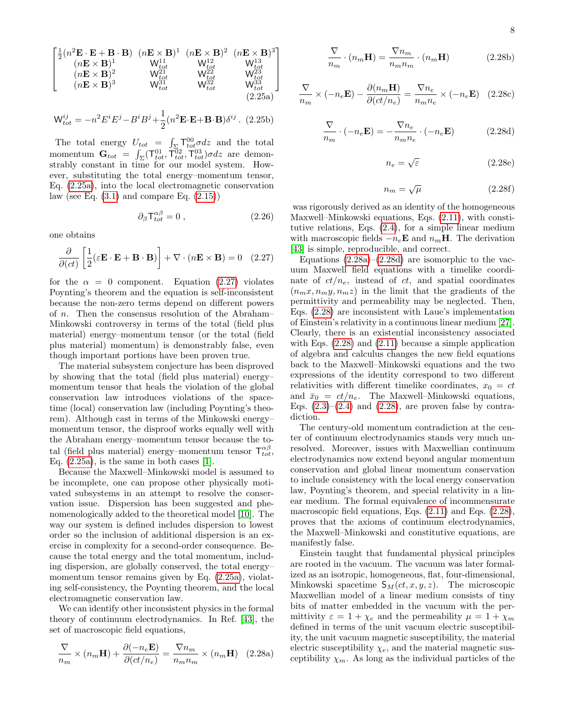$$
8 \\
$$

<span id="page-7-0"></span>
$$
\begin{bmatrix}\n\frac{1}{2}(n^2\mathbf{E}\cdot\mathbf{E}+\mathbf{B}\cdot\mathbf{B}) & (n\mathbf{E}\times\mathbf{B})^1 & (n\mathbf{E}\times\mathbf{B})^2 & (n\mathbf{E}\times\mathbf{B})^3 \\
(n\mathbf{E}\times\mathbf{B})^1 & W_{tot}^{11} & W_{tot}^{12} & W_{tot}^{13} \\
(n\mathbf{E}\times\mathbf{B})^2 & W_{tot}^{21} & W_{tot}^{22} & W_{tot}^{23} \\
(n\mathbf{E}\times\mathbf{B})^3 & W_{tot}^{31} & W_{tot}^{32} & W_{tot}^{33} \\
(2.25a)\n\end{bmatrix}
$$

$$
\mathbf{W}_{tot}^{ij} = -n^2 E^i E^j - B^i B^j + \frac{1}{2} (n^2 \mathbf{E} \cdot \mathbf{E} + \mathbf{B} \cdot \mathbf{B}) \delta^{ij}.
$$
 (2.25b)

The total energy  $U_{tot} = \int_{\Sigma} \Gamma_{tot}^{00} \sigma dz$  and the total momentum  $\mathbf{G}_{tot} = \int_{\Sigma} (\mathsf{T}_{tot}^{01}, \mathsf{T}_{tot}^{02}, \mathsf{T}_{tot}^{03}) \sigma dz$  are demonstrably constant in time for our model system. However, substituting the total energy–momentum tensor, Eq. [\(2.25a\)](#page-7-0), into the local electromagnetic conservation law (see Eq.  $(3.1)$  and compare Eq.  $(2.15)$ )

$$
\partial_{\beta} \mathsf{T}^{\alpha \beta}_{tot} = 0 , \qquad (2.26)
$$

one obtains

<span id="page-7-1"></span>
$$
\frac{\partial}{\partial (ct)} \left[ \frac{1}{2} (\varepsilon \mathbf{E} \cdot \mathbf{E} + \mathbf{B} \cdot \mathbf{B}) \right] + \nabla \cdot (n \mathbf{E} \times \mathbf{B}) = 0 \quad (2.27)
$$

for the  $\alpha = 0$  component. Equation [\(2.27\)](#page-7-1) violates Poynting's theorem and the equation is self-inconsistent because the non-zero terms depend on different powers of n. Then the consensus resolution of the Abraham– Minkowski controversy in terms of the total (field plus material) energy–momentum tensor (or the total (field plus material) momentum) is demonstrably false, even though important portions have been proven true.

The material subsystem conjecture has been disproved by showing that the total (field plus material) energy– momentum tensor that heals the violation of the global conservation law introduces violations of the spacetime (local) conservation law (including Poynting's theorem). Although cast in terms of the Minkowski energy– momentum tensor, the disproof works equally well with the Abraham energy–momentum tensor because the total (field plus material) energy–momentum tensor  $\mathsf{T}^{\alpha\beta}_{tot}$ , Eq.  $(2.25a)$ , is the same in both cases [\[1\]](#page-18-0).

Because the Maxwell–Minkowski model is assumed to be incomplete, one can propose other physically motivated subsystems in an attempt to resolve the conservation issue. Dispersion has been suggested and phenomenologically added to the theoretical model [\[10\]](#page-18-13). The way our system is defined includes dispersion to lowest order so the inclusion of additional dispersion is an exercise in complexity for a second-order consequence. Because the total energy and the total momentum, including dispersion, are globally conserved, the total energy– momentum tensor remains given by Eq.  $(2.25a)$ , violating self-consistency, the Poynting theorem, and the local electromagnetic conservation law.

We can identify other inconsistent physics in the formal theory of continuum electrodynamics. In Ref. [\[43\]](#page-19-20), the set of macroscopic field equations,

<span id="page-7-2"></span>
$$
\frac{\nabla}{n_m} \times (n_m \mathbf{H}) + \frac{\partial (-n_e \mathbf{E})}{\partial (ct/n_e)} = \frac{\nabla n_m}{n_m n_m} \times (n_m \mathbf{H}) \quad (2.28a)
$$

$$
\frac{\nabla}{n_m} \cdot (n_m \mathbf{H}) = \frac{\nabla n_m}{n_m n_m} \cdot (n_m \mathbf{H}) \tag{2.28b}
$$

$$
\frac{\nabla}{n_m} \times (-n_e \mathbf{E}) - \frac{\partial (n_m \mathbf{H})}{\partial (ct/n_e)} = \frac{\nabla n_e}{n_m n_e} \times (-n_e \mathbf{E}) \quad (2.28c)
$$

<span id="page-7-3"></span>
$$
\frac{\nabla}{n_m} \cdot (-n_e \mathbf{E}) = -\frac{\nabla n_e}{n_m n_e} \cdot (-n_e \mathbf{E}) \tag{2.28d}
$$

$$
n_e = \sqrt{\varepsilon} \tag{2.28e}
$$

<span id="page-7-4"></span>
$$
n_m = \sqrt{\mu} \tag{2.28f}
$$

was rigorously derived as an identity of the homogeneous Maxwell–Minkowski equations, Eqs. [\(2.11\)](#page-4-2), with constitutive relations, Eqs. [\(2.4\)](#page-3-1), for a simple linear medium with macroscopic fields  $-n_e\mathbf{E}$  and  $n_m\mathbf{H}$ . The derivation [\[43\]](#page-19-20) is simple, reproducible, and correct.

Equations  $(2.28a)-(2.28d)$  $(2.28a)-(2.28d)$  $(2.28a)-(2.28d)$  are isomorphic to the vacuum Maxwell field equations with a timelike coordinate of  $ct/n_e$ , instead of ct, and spatial coordinates  $(n_mx, n_my, n_mz)$  in the limit that the gradients of the permittivity and permeability may be neglected. Then, Eqs. [\(2.28\)](#page-7-4) are inconsistent with Laue's implementation of Einstein's relativity in a continuous linear medium [\[27\]](#page-19-5). Clearly, there is an existential inconsistency associated with Eqs.  $(2.28)$  and  $(2.11)$  because a simple application of algebra and calculus changes the new field equations back to the Maxwell–Minkowski equations and the two expressions of the identity correspond to two different relativities with different timelike coordinates,  $x_0 = ct$ and  $\bar{x}_0 = ct/n_e$ . The Maxwell–Minkowski equations, Eqs.  $(2.3)$ – $(2.4)$  and  $(2.28)$ , are proven false by contradiction.

The century-old momentum contradiction at the center of continuum electrodynamics stands very much unresolved. Moreover, issues with Maxwellian continuum electrodynamics now extend beyond angular momentum conservation and global linear momentum conservation to include consistency with the local energy conservation law, Poynting's theorem, and special relativity in a linear medium. The formal equivalence of incommensurate macroscopic field equations, Eqs. [\(2.11\)](#page-4-2) and Eqs. [\(2.28\)](#page-7-4), proves that the axioms of continuum electrodynamics, the Maxwell–Minkowski and constitutive equations, are manifestly false.

Einstein taught that fundamental physical principles are rooted in the vacuum. The vacuum was later formalized as an isotropic, homogeneous, flat, four-dimensional, Minkowski spacetime  $S_M(ct, x, y, z)$ . The microscopic Maxwellian model of a linear medium consists of tiny bits of matter embedded in the vacuum with the permittivity  $\varepsilon = 1 + \chi_e$  and the permeability  $\mu = 1 + \chi_m$ defined in terms of the unit vacuum electric susceptibility, the unit vacuum magnetic susceptibility, the material electric susceptibility  $\chi_e$ , and the material magnetic susceptibility  $\chi_m$ . As long as the individual particles of the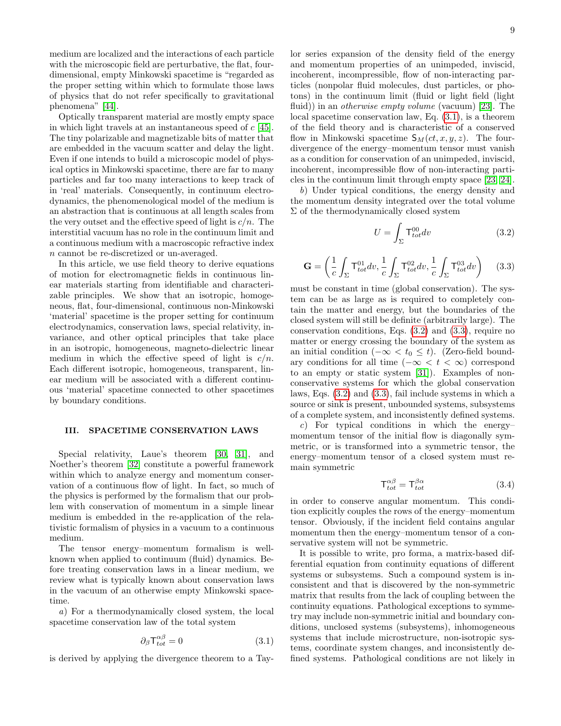medium are localized and the interactions of each particle with the microscopic field are perturbative, the flat, fourdimensional, empty Minkowski spacetime is "regarded as the proper setting within which to formulate those laws of physics that do not refer specifically to gravitational phenomena" [\[44\]](#page-19-21).

Optically transparent material are mostly empty space in which light travels at an instantaneous speed of c [\[45\]](#page-19-22). The tiny polarizable and magnetizable bits of matter that are embedded in the vacuum scatter and delay the light. Even if one intends to build a microscopic model of physical optics in Minkowski spacetime, there are far to many particles and far too many interactions to keep track of in 'real' materials. Consequently, in continuum electrodynamics, the phenomenological model of the medium is an abstraction that is continuous at all length scales from the very outset and the effective speed of light is  $c/n$ . The interstitial vacuum has no role in the continuum limit and a continuous medium with a macroscopic refractive index n cannot be re-discretized or un-averaged.

In this article, we use field theory to derive equations of motion for electromagnetic fields in continuous linear materials starting from identifiable and characterizable principles. We show that an isotropic, homogeneous, flat, four-dimensional, continuous non-Minkowski 'material' spacetime is the proper setting for continuum electrodynamics, conservation laws, special relativity, invariance, and other optical principles that take place in an isotropic, homogeneous, magneto-dielectric linear medium in which the effective speed of light is  $c/n$ . Each different isotropic, homogeneous, transparent, linear medium will be associated with a different continuous 'material' spacetime connected to other spacetimes by boundary conditions.

#### III. SPACETIME CONSERVATION LAWS

Special relativity, Laue's theorem [\[30,](#page-19-8) [31\]](#page-19-9), and Noether's theorem [\[32\]](#page-19-10) constitute a powerful framework within which to analyze energy and momentum conservation of a continuous flow of light. In fact, so much of the physics is performed by the formalism that our problem with conservation of momentum in a simple linear medium is embedded in the re-application of the relativistic formalism of physics in a vacuum to a continuous medium.

The tensor energy–momentum formalism is wellknown when applied to continuum (fluid) dynamics. Before treating conservation laws in a linear medium, we review what is typically known about conservation laws in the vacuum of an otherwise empty Minkowski spacetime.

a) For a thermodynamically closed system, the local spacetime conservation law of the total system

<span id="page-8-0"></span>
$$
\partial_{\beta} \mathsf{T}^{\alpha \beta}_{tot} = 0 \tag{3.1}
$$

is derived by applying the divergence theorem to a Tay-

lor series expansion of the density field of the energy and momentum properties of an unimpeded, inviscid, incoherent, incompressible, flow of non-interacting particles (nonpolar fluid molecules, dust particles, or photons) in the continuum limit (fluid or light field (light fluid)) in an *otherwise empty volume* (vacuum) [\[23\]](#page-19-1). The local spacetime conservation law, Eq. [\(3.1\)](#page-8-0), is a theorem of the field theory and is characteristic of a conserved flow in Minkowski spacetime  $S_M(ct, x, y, z)$ . The fourdivergence of the energy–momentum tensor must vanish as a condition for conservation of an unimpeded, inviscid, incoherent, incompressible flow of non-interacting particles in the continuum limit through empty space [\[23,](#page-19-1) [24\]](#page-19-2).

b) Under typical conditions, the energy density and the momentum density integrated over the total volume  $\Sigma$  of the thermodynamically closed system

<span id="page-8-1"></span>
$$
U = \int_{\Sigma} \mathsf{T}^{00}_{tot} dv \tag{3.2}
$$

<span id="page-8-2"></span>
$$
\mathbf{G} = \left(\frac{1}{c} \int_{\Sigma} \mathsf{T}_{tot}^{01} dv, \frac{1}{c} \int_{\Sigma} \mathsf{T}_{tot}^{02} dv, \frac{1}{c} \int_{\Sigma} \mathsf{T}_{tot}^{03} dv\right) \tag{3.3}
$$

must be constant in time (global conservation). The system can be as large as is required to completely contain the matter and energy, but the boundaries of the closed system will still be definite (arbitrarily large). The conservation conditions, Eqs. [\(3.2\)](#page-8-1) and [\(3.3\)](#page-8-2), require no matter or energy crossing the boundary of the system as an initial condition ( $-\infty < t_0 \leq t$ ). (Zero-field boundary conditions for all time  $(-\infty < t < \infty)$  correspond to an empty or static system [\[31\]](#page-19-9)). Examples of nonconservative systems for which the global conservation laws, Eqs. [\(3.2\)](#page-8-1) and [\(3.3\)](#page-8-2), fail include systems in which a source or sink is present, unbounded systems, subsystems of a complete system, and inconsistently defined systems.

c) For typical conditions in which the energy– momentum tensor of the initial flow is diagonally symmetric, or is transformed into a symmetric tensor, the energy–momentum tensor of a closed system must remain symmetric

<span id="page-8-3"></span>
$$
\mathsf{T}^{\alpha\beta}_{tot} = \mathsf{T}^{\beta\alpha}_{tot} \tag{3.4}
$$

in order to conserve angular momentum. This condition explicitly couples the rows of the energy–momentum tensor. Obviously, if the incident field contains angular momentum then the energy–momentum tensor of a conservative system will not be symmetric.

It is possible to write, pro forma, a matrix-based differential equation from continuity equations of different systems or subsystems. Such a compound system is inconsistent and that is discovered by the non-symmetric matrix that results from the lack of coupling between the continuity equations. Pathological exceptions to symmetry may include non-symmetric initial and boundary conditions, unclosed systems (subsystems), inhomogeneous systems that include microstructure, non-isotropic systems, coordinate system changes, and inconsistently defined systems. Pathological conditions are not likely in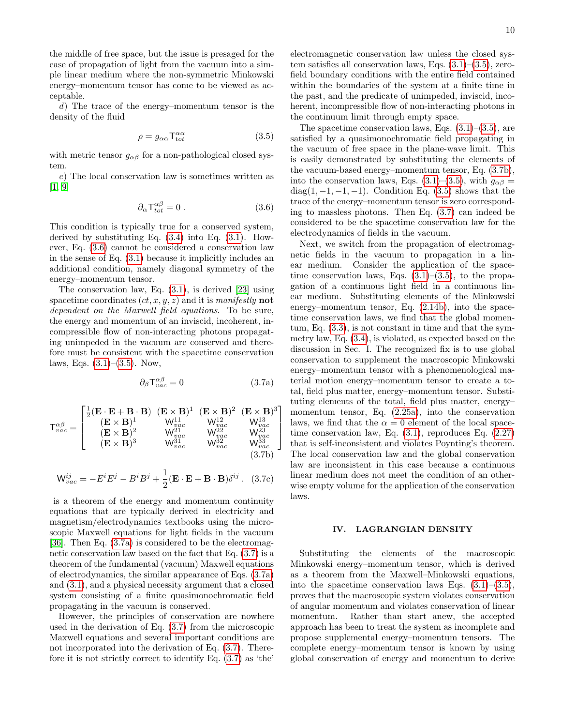the middle of free space, but the issue is presaged for the case of propagation of light from the vacuum into a simple linear medium where the non-symmetric Minkowski energy–momentum tensor has come to be viewed as acceptable.

d) The trace of the energy–momentum tensor is the density of the fluid

<span id="page-9-1"></span>
$$
\rho = g_{\alpha\alpha} \mathsf{T}^{\alpha\alpha}_{tot} \tag{3.5}
$$

with metric tensor  $g_{\alpha\beta}$  for a non-pathological closed system.

e) The local conservation law is sometimes written as [\[1,](#page-18-0) [9\]](#page-18-5)

<span id="page-9-0"></span>
$$
\partial_{\alpha} T_{tot}^{\alpha \beta} = 0 \tag{3.6}
$$

This condition is typically true for a conserved system, derived by substituting Eq.  $(3.4)$  into Eq.  $(3.1)$ . However, Eq. [\(3.6\)](#page-9-0) cannot be considered a conservation law in the sense of Eq. [\(3.1\)](#page-8-0) because it implicitly includes an additional condition, namely diagonal symmetry of the energy–momentum tensor.

The conservation law, Eq. [\(3.1\)](#page-8-0), is derived [\[23\]](#page-19-1) using spacetime coordinates  $(ct, x, y, z)$  and it is manifestly **not** dependent on the Maxwell field equations. To be sure, the energy and momentum of an inviscid, incoherent, incompressible flow of non-interacting photons propagating unimpeded in the vacuum are conserved and therefore must be consistent with the spacetime conservation laws, Eqs.  $(3.1)$ – $(3.5)$ . Now,

<span id="page-9-2"></span>
$$
\partial_{\beta} \mathsf{T}^{\alpha \beta}_{vac} = 0 \tag{3.7a}
$$

<span id="page-9-4"></span>
$$
\mathsf{T}^{\alpha\beta}_{vac}=\left[\begin{matrix}\frac{1}{2}(\mathbf{E}\cdot\mathbf{E}+\mathbf{B}\cdot\mathbf{B}) & (\mathbf{E}\times\mathbf{B})^{1} & (\mathbf{E}\times\mathbf{B})^{2} & (\mathbf{E}\times\mathbf{B})^{3}\\ (\mathbf{E}\times\mathbf{B})^{1} & \mathsf{W}^{11}_{vac} & \mathsf{W}^{12}_{vac} & \mathsf{W}^{13}_{vac}\\ (\mathbf{E}\times\mathbf{B})^{3} & \mathsf{W}^{21}_{vac} & \mathsf{W}^{22}_{vac} & \mathsf{W}^{23}_{vac}\\ (\mathbf{E}\times\mathbf{B})^{3} & \mathsf{W}^{31}_{vac} & \mathsf{W}^{32}_{vac} & \mathsf{W}^{33}_{vac}\\ & & & & & &\\ & & & & & &\\ \end{matrix}\right]
$$

<span id="page-9-3"></span>
$$
\mathsf{W}_{vac}^{ij} = -E^i E^j - B^i B^j + \frac{1}{2} (\mathbf{E} \cdot \mathbf{E} + \mathbf{B} \cdot \mathbf{B}) \delta^{ij}.
$$
 (3.7c)

is a theorem of the energy and momentum continuity equations that are typically derived in electricity and magnetism/electrodynamics textbooks using the microscopic Maxwell equations for light fields in the vacuum [\[36\]](#page-19-23). Then Eq. [\(3.7a\)](#page-9-2) is considered to be the electromagnetic conservation law based on the fact that Eq. [\(3.7\)](#page-9-3) is a theorem of the fundamental (vacuum) Maxwell equations of electrodynamics, the similar appearance of Eqs. [\(3.7a\)](#page-9-2) and [\(3.1\)](#page-8-0), and a physical necessity argument that a closed system consisting of a finite quasimonochromatic field propagating in the vacuum is conserved.

However, the principles of conservation are nowhere used in the derivation of Eq. [\(3.7\)](#page-9-3) from the microscopic Maxwell equations and several important conditions are not incorporated into the derivation of Eq. [\(3.7\)](#page-9-3). Therefore it is not strictly correct to identify Eq. [\(3.7\)](#page-9-3) as 'the'

electromagnetic conservation law unless the closed system satisfies all conservation laws, Eqs.  $(3.1)$ – $(3.5)$ , zerofield boundary conditions with the entire field contained within the boundaries of the system at a finite time in the past, and the predicate of unimpeded, inviscid, incoherent, incompressible flow of non-interacting photons in the continuum limit through empty space.

The spacetime conservation laws, Eqs.  $(3.1)$ – $(3.5)$ , are satisfied by a quasimonochromatic field propagating in the vacuum of free space in the plane-wave limit. This is easily demonstrated by substituting the elements of the vacuum-based energy–momentum tensor, Eq. [\(3.7b\)](#page-9-4), into the conservation laws, Eqs. [\(3.1\)](#page-8-0)–[\(3.5\)](#page-9-1), with  $g_{\alpha\beta} =$ diag $(1, -1, -1, -1)$ . Condition Eq.  $(3.5)$  shows that the trace of the energy–momentum tensor is zero corresponding to massless photons. Then Eq. [\(3.7\)](#page-9-3) can indeed be considered to be the spacetime conservation law for the electrodynamics of fields in the vacuum.

Next, we switch from the propagation of electromagnetic fields in the vacuum to propagation in a linear medium. Consider the application of the spacetime conservation laws, Eqs.  $(3.1)$ – $(3.5)$ , to the propagation of a continuous light field in a continuous linear medium. Substituting elements of the Minkowski energy–momentum tensor, Eq. [\(2.14b\)](#page-5-3), into the spacetime conservation laws, we find that the global momentum, Eq. [\(3.3\)](#page-8-2), is not constant in time and that the symmetry law, Eq. [\(3.4\)](#page-8-3), is violated, as expected based on the discussion in Sec. I. The recognized fix is to use global conservation to supplement the macroscopic Minkowski energy–momentum tensor with a phenomenological material motion energy–momentum tensor to create a total, field plus matter, energy–momentum tensor. Substituting elements of the total, field plus matter, energy– momentum tensor, Eq. [\(2.25a\)](#page-7-0), into the conservation laws, we find that the  $\alpha = 0$  element of the local spacetime conservation law, Eq.  $(3.1)$ , reproduces Eq.  $(2.27)$ that is self-inconsistent and violates Poynting's theorem. The local conservation law and the global conservation law are inconsistent in this case because a continuous linear medium does not meet the condition of an otherwise empty volume for the application of the conservation laws.

#### IV. LAGRANGIAN DENSITY

Substituting the elements of the macroscopic Minkowski energy–momentum tensor, which is derived as a theorem from the Maxwell–Minkowski equations, into the spacetime conservation laws Eqs.  $(3.1)$ – $(3.5)$ , proves that the macroscopic system violates conservation of angular momentum and violates conservation of linear momentum. Rather than start anew, the accepted approach has been to treat the system as incomplete and propose supplemental energy–momentum tensors. The complete energy–momentum tensor is known by using global conservation of energy and momentum to derive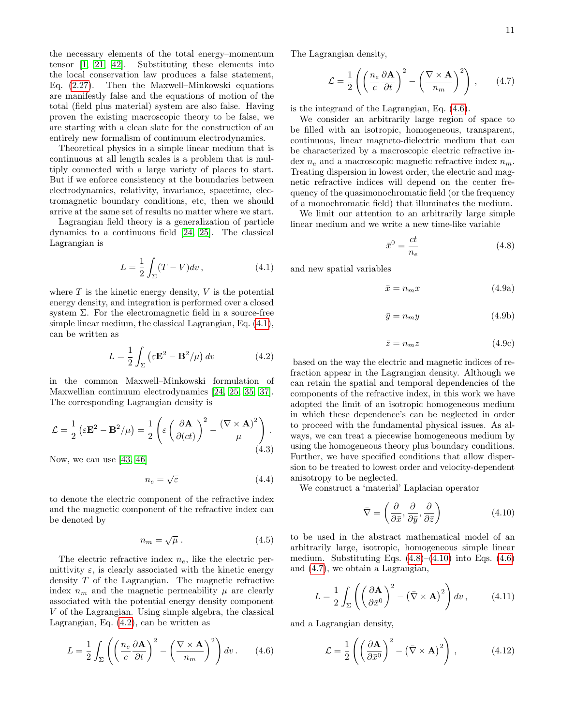the necessary elements of the total energy–momentum tensor [\[1,](#page-18-0) [21,](#page-18-12) [42\]](#page-19-19). Substituting these elements into the local conservation law produces a false statement, Eq. [\(2.27\)](#page-7-1). Then the Maxwell–Minkowski equations are manifestly false and the equations of motion of the total (field plus material) system are also false. Having proven the existing macroscopic theory to be false, we are starting with a clean slate for the construction of an entirely new formalism of continuum electrodynamics.

Theoretical physics in a simple linear medium that is continuous at all length scales is a problem that is multiply connected with a large variety of places to start. But if we enforce consistency at the boundaries between electrodynamics, relativity, invariance, spacetime, electromagnetic boundary conditions, etc, then we should arrive at the same set of results no matter where we start.

Lagrangian field theory is a generalization of particle dynamics to a continuous field [\[24,](#page-19-2) [25\]](#page-19-3). The classical Lagrangian is

<span id="page-10-0"></span>
$$
L = \frac{1}{2} \int_{\Sigma} (T - V) dv,
$$
\n(4.1)

where  $T$  is the kinetic energy density,  $V$  is the potential energy density, and integration is performed over a closed system  $\Sigma$ . For the electromagnetic field in a source-free simple linear medium, the classical Lagrangian, Eq. [\(4.1\)](#page-10-0), can be written as

<span id="page-10-1"></span>
$$
L = \frac{1}{2} \int_{\Sigma} \left( \varepsilon \mathbf{E}^2 - \mathbf{B}^2 / \mu \right) dv \tag{4.2}
$$

in the common Maxwell–Minkowski formulation of Maxwellian continuum electrodynamics [\[24,](#page-19-2) [25,](#page-19-3) [35,](#page-19-13) [37\]](#page-19-14). The corresponding Lagrangian density is

$$
\mathcal{L} = \frac{1}{2} \left( \varepsilon \mathbf{E}^2 - \mathbf{B}^2 / \mu \right) = \frac{1}{2} \left( \varepsilon \left( \frac{\partial \mathbf{A}}{\partial (ct)} \right)^2 - \frac{(\nabla \times \mathbf{A})^2}{\mu} \right).
$$
\n(4.3)

Now, we can use [\[43,](#page-19-20) [46\]](#page-19-24)

$$
n_e = \sqrt{\varepsilon} \tag{4.4}
$$

to denote the electric component of the refractive index and the magnetic component of the refractive index can be denoted by

$$
n_m = \sqrt{\mu} \ . \tag{4.5}
$$

The electric refractive index  $n_e$ , like the electric permittivity  $\varepsilon$ , is clearly associated with the kinetic energy density T of the Lagrangian. The magnetic refractive index  $n_m$  and the magnetic permeability  $\mu$  are clearly associated with the potential energy density component V of the Lagrangian. Using simple algebra, the classical Lagrangian, Eq. [\(4.2\)](#page-10-1), can be written as

<span id="page-10-2"></span>
$$
L = \frac{1}{2} \int_{\Sigma} \left( \left( \frac{n_e}{c} \frac{\partial \mathbf{A}}{\partial t} \right)^2 - \left( \frac{\nabla \times \mathbf{A}}{n_m} \right)^2 \right) dv \,. \tag{4.6}
$$

The Lagrangian density,

<span id="page-10-5"></span>
$$
\mathcal{L} = \frac{1}{2} \left( \left( \frac{n_e}{c} \frac{\partial \mathbf{A}}{\partial t} \right)^2 - \left( \frac{\nabla \times \mathbf{A}}{n_m} \right)^2 \right), \qquad (4.7)
$$

is the integrand of the Lagrangian, Eq. [\(4.6\)](#page-10-2).

We consider an arbitrarily large region of space to be filled with an isotropic, homogeneous, transparent, continuous, linear magneto-dielectric medium that can be characterized by a macroscopic electric refractive index  $n_e$  and a macroscopic magnetic refractive index  $n_m$ . Treating dispersion in lowest order, the electric and magnetic refractive indices will depend on the center frequency of the quasimonochromatic field (or the frequency of a monochromatic field) that illuminates the medium.

We limit our attention to an arbitrarily large simple linear medium and we write a new time-like variable

<span id="page-10-3"></span>
$$
\bar{x}^0 = \frac{ct}{n_e} \tag{4.8}
$$

and new spatial variables

$$
\bar{x} = n_m x \tag{4.9a}
$$

$$
\bar{y} = n_m y \tag{4.9b}
$$

<span id="page-10-7"></span>
$$
\bar{z} = n_m z \tag{4.9c}
$$

based on the way the electric and magnetic indices of refraction appear in the Lagrangian density. Although we can retain the spatial and temporal dependencies of the components of the refractive index, in this work we have adopted the limit of an isotropic homogeneous medium in which these dependence's can be neglected in order to proceed with the fundamental physical issues. As always, we can treat a piecewise homogeneous medium by using the homogeneous theory plus boundary conditions. Further, we have specified conditions that allow dispersion to be treated to lowest order and velocity-dependent anisotropy to be neglected.

We construct a 'material' Laplacian operator

<span id="page-10-4"></span>
$$
\bar{\nabla} = \left(\frac{\partial}{\partial \bar{x}}, \frac{\partial}{\partial \bar{y}}, \frac{\partial}{\partial \bar{z}}\right) \tag{4.10}
$$

to be used in the abstract mathematical model of an arbitrarily large, isotropic, homogeneous simple linear medium. Substituting Eqs.  $(4.8)$ – $(4.10)$  into Eqs.  $(4.6)$ and [\(4.7\)](#page-10-5), we obtain a Lagrangian,

$$
L = \frac{1}{2} \int_{\Sigma} \left( \left( \frac{\partial \mathbf{A}}{\partial \bar{x}^0} \right)^2 - \left( \bar{\nabla} \times \mathbf{A} \right)^2 \right) dv , \qquad (4.11)
$$

and a Lagrangian density,

<span id="page-10-6"></span>
$$
\mathcal{L} = \frac{1}{2} \left( \left( \frac{\partial \mathbf{A}}{\partial \bar{x}^0} \right)^2 - \left( \bar{\nabla} \times \mathbf{A} \right)^2 \right), \tag{4.12}
$$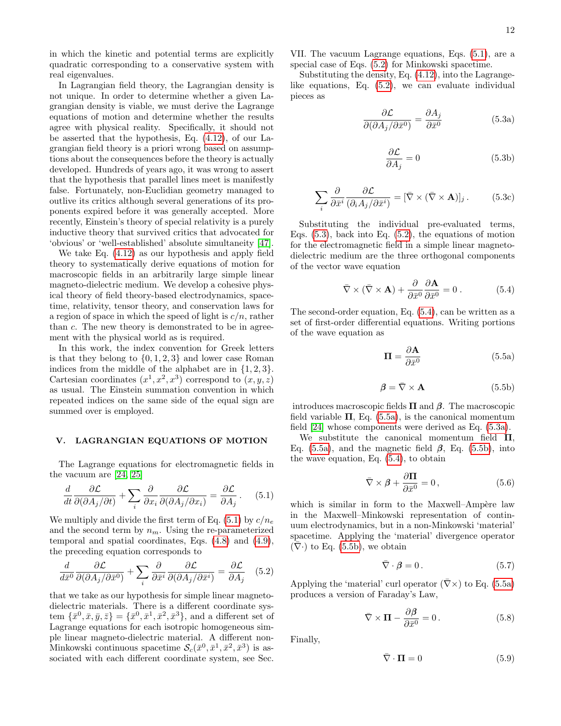in which the kinetic and potential terms are explicitly quadratic corresponding to a conservative system with real eigenvalues.

In Lagrangian field theory, the Lagrangian density is not unique. In order to determine whether a given Lagrangian density is viable, we must derive the Lagrange equations of motion and determine whether the results agree with physical reality. Specifically, it should not be asserted that the hypothesis, Eq. [\(4.12\)](#page-10-6), of our Lagrangian field theory is a priori wrong based on assumptions about the consequences before the theory is actually developed. Hundreds of years ago, it was wrong to assert that the hypothesis that parallel lines meet is manifestly false. Fortunately, non-Euclidian geometry managed to outlive its critics although several generations of its proponents expired before it was generally accepted. More recently, Einstein's theory of special relativity is a purely inductive theory that survived critics that advocated for 'obvious' or 'well-established' absolute simultaneity [\[47\]](#page-19-25).

We take Eq. [\(4.12\)](#page-10-6) as our hypothesis and apply field theory to systematically derive equations of motion for macroscopic fields in an arbitrarily large simple linear magneto-dielectric medium. We develop a cohesive physical theory of field theory-based electrodynamics, spacetime, relativity, tensor theory, and conservation laws for a region of space in which the speed of light is  $c/n$ , rather than c. The new theory is demonstrated to be in agreement with the physical world as is required.

In this work, the index convention for Greek letters is that they belong to  $\{0, 1, 2, 3\}$  and lower case Roman indices from the middle of the alphabet are in {1, 2, 3}. Cartesian coordinates  $(x^1, x^2, x^3)$  correspond to  $(x, y, z)$ as usual. The Einstein summation convention in which repeated indices on the same side of the equal sign are summed over is employed.

### V. LAGRANGIAN EQUATIONS OF MOTION

The Lagrange equations for electromagnetic fields in the vacuum are [\[24,](#page-19-2) [25\]](#page-19-3)

<span id="page-11-0"></span>
$$
\frac{d}{dt}\frac{\partial \mathcal{L}}{\partial(\partial A_j/\partial t)} + \sum_i \frac{\partial}{\partial x_i} \frac{\partial \mathcal{L}}{\partial(\partial A_j/\partial x_i)} = \frac{\partial \mathcal{L}}{\partial A_j}.
$$
 (5.1)

We multiply and divide the first term of Eq. [\(5.1\)](#page-11-0) by  $c/n_e$ and the second term by  $n_m$ . Using the re-parameterized temporal and spatial coordinates, Eqs. [\(4.8\)](#page-10-3) and [\(4.9\)](#page-10-7), the preceding equation corresponds to

<span id="page-11-1"></span>
$$
\frac{d}{d\bar{x}^0} \frac{\partial \mathcal{L}}{\partial(\partial A_j/\partial \bar{x}^0)} + \sum_i \frac{\partial}{\partial \bar{x}^i} \frac{\partial \mathcal{L}}{\partial(\partial A_j/\partial \bar{x}^i)} = \frac{\partial \mathcal{L}}{\partial A_j} \quad (5.2)
$$

that we take as our hypothesis for simple linear magnetodielectric materials. There is a different coordinate system  $\{\bar{x}^0, \bar{x}, \bar{y}, \bar{z}\} = \{\bar{x}^0, \bar{x}^1, \bar{x}^2, \bar{x}^3\}$ , and a different set of Lagrange equations for each isotropic homogeneous simple linear magneto-dielectric material. A different non-Minkowski continuous spacetime  $S_c(\bar{x}^0, \bar{x}^1, \bar{x}^2, \bar{x}^3)$  is associated with each different coordinate system, see Sec.

VII. The vacuum Lagrange equations, Eqs. [\(5.1\)](#page-11-0), are a special case of Eqs. [\(5.2\)](#page-11-1) for Minkowski spacetime.

Substituting the density, Eq. [\(4.12\)](#page-10-6), into the Lagrangelike equations, Eq. [\(5.2\)](#page-11-1), we can evaluate individual pieces as

<span id="page-11-5"></span>
$$
\frac{\partial \mathcal{L}}{\partial(\partial A_j/\partial \bar{x}^0)} = \frac{\partial A_j}{\partial \bar{x}^0}
$$
(5.3a)

$$
\frac{\partial \mathcal{L}}{\partial A_j} = 0 \tag{5.3b}
$$

<span id="page-11-2"></span>
$$
\sum_{i} \frac{\partial}{\partial \bar{x}^{i}} \frac{\partial \mathcal{L}}{(\partial_{i} A_{j} / \partial \bar{x}^{i})} = [\bar{\nabla} \times (\bar{\nabla} \times \mathbf{A})]_{j}. \tag{5.3c}
$$

Substituting the individual pre-evaluated terms, Eqs.  $(5.3)$ , back into Eq.  $(5.2)$ , the equations of motion for the electromagnetic field in a simple linear magnetodielectric medium are the three orthogonal components of the vector wave equation

<span id="page-11-3"></span>
$$
\bar{\nabla} \times (\bar{\nabla} \times \mathbf{A}) + \frac{\partial}{\partial \bar{x}^0} \frac{\partial \mathbf{A}}{\partial \bar{x}^0} = 0.
$$
 (5.4)

The second-order equation, Eq. [\(5.4\)](#page-11-3), can be written as a set of first-order differential equations. Writing portions of the wave equation as

<span id="page-11-4"></span>
$$
\Pi = \frac{\partial \mathbf{A}}{\partial \bar{x}^0} \tag{5.5a}
$$

<span id="page-11-6"></span>
$$
\beta = \bar{\nabla} \times \mathbf{A} \tag{5.5b}
$$

introduces macroscopic fields  $\Pi$  and  $\beta$ . The macroscopic field variable  $\Pi$ , Eq. [\(5.5a\)](#page-11-4), is the canonical momentum field [\[24\]](#page-19-2) whose components were derived as Eq. [\(5.3a\)](#page-11-5).

We substitute the canonical momentum field  $\Pi$ , Eq. [\(5.5a\)](#page-11-4), and the magnetic field  $\beta$ , Eq. [\(5.5b\)](#page-11-6), into the wave equation, Eq. [\(5.4\)](#page-11-3), to obtain

<span id="page-11-7"></span>
$$
\bar{\nabla} \times \beta + \frac{\partial \Pi}{\partial \bar{x}^0} = 0, \qquad (5.6)
$$

which is similar in form to the Maxwell–Ampère law in the Maxwell–Minkowski representation of continuum electrodynamics, but in a non-Minkowski 'material' spacetime. Applying the 'material' divergence operator  $(\nabla)$  to Eq. [\(5.5b\)](#page-11-6), we obtain

$$
\bar{\nabla} \cdot \boldsymbol{\beta} = 0. \tag{5.7}
$$

Applying the 'material' curl operator  $(\bar{\nabla}\times)$  to Eq. [\(5.5a\)](#page-11-4) produces a version of Faraday's Law,

$$
\bar{\nabla} \times \mathbf{\Pi} - \frac{\partial \beta}{\partial \bar{x}^0} = 0.
$$
 (5.8)

Finally,

<span id="page-11-8"></span>
$$
\bar{\nabla} \cdot \mathbf{\Pi} = 0 \tag{5.9}
$$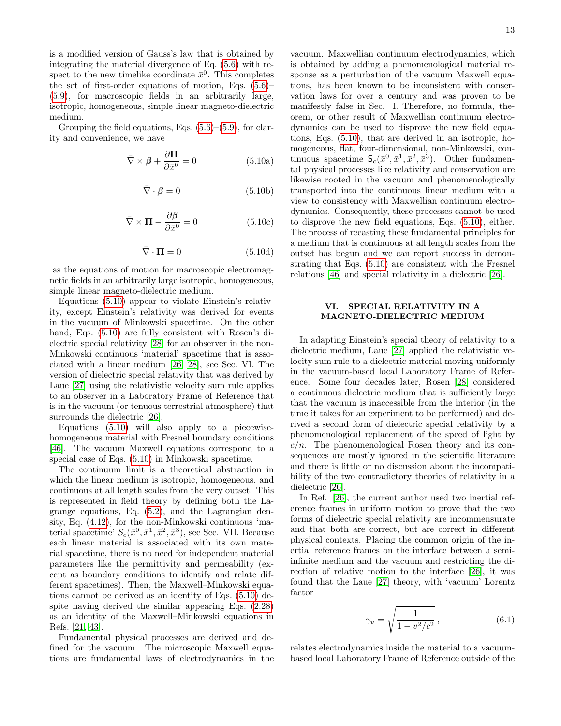is a modified version of Gauss's law that is obtained by integrating the material divergence of Eq. [\(5.6\)](#page-11-7) with respect to the new timelike coordinate  $\bar{x}^0$ . This completes the set of first-order equations of motion, Eqs. [\(5.6\)](#page-11-7)– [\(5.9\)](#page-11-8), for macroscopic fields in an arbitrarily large, isotropic, homogeneous, simple linear magneto-dielectric medium.

Grouping the field equations, Eqs.  $(5.6)$ – $(5.9)$ , for clarity and convenience, we have

$$
\bar{\nabla} \times \beta + \frac{\partial \Pi}{\partial \bar{x}^0} = 0 \tag{5.10a}
$$

$$
\bar{\nabla} \cdot \boldsymbol{\beta} = 0 \tag{5.10b}
$$

$$
\bar{\nabla} \times \mathbf{\Pi} - \frac{\partial \beta}{\partial \bar{x}^0} = 0 \tag{5.10c}
$$

<span id="page-12-0"></span>
$$
\bar{\nabla} \cdot \mathbf{\Pi} = 0 \tag{5.10d}
$$

as the equations of motion for macroscopic electromagnetic fields in an arbitrarily large isotropic, homogeneous, simple linear magneto-dielectric medium.

Equations [\(5.10\)](#page-12-0) appear to violate Einstein's relativity, except Einstein's relativity was derived for events in the vacuum of Minkowski spacetime. On the other hand, Eqs. [\(5.10\)](#page-12-0) are fully consistent with Rosen's dielectric special relativity [\[28\]](#page-19-6) for an observer in the non-Minkowski continuous 'material' spacetime that is associated with a linear medium [\[26,](#page-19-4) [28\]](#page-19-6), see Sec. VI. The version of dielectric special relativity that was derived by Laue [\[27\]](#page-19-5) using the relativistic velocity sum rule applies to an observer in a Laboratory Frame of Reference that is in the vacuum (or tenuous terrestrial atmosphere) that surrounds the dielectric [\[26\]](#page-19-4).

Equations  $(5.10)$  will also apply to a piecewisehomogeneous material with Fresnel boundary conditions [\[46\]](#page-19-24). The vacuum Maxwell equations correspond to a special case of Eqs. [\(5.10\)](#page-12-0) in Minkowski spacetime.

The continuum limit is a theoretical abstraction in which the linear medium is isotropic, homogeneous, and continuous at all length scales from the very outset. This is represented in field theory by defining both the Lagrange equations, Eq. [\(5.2\)](#page-11-1), and the Lagrangian density, Eq. [\(4.12\)](#page-10-6), for the non-Minkowski continuous 'material spacetime'  $\mathcal{S}_c(\bar{x}^0, \bar{x}^1, \bar{x}^2, \bar{x}^3)$ , see Sec. VII. Because each linear material is associated with its own material spacetime, there is no need for independent material parameters like the permittivity and permeability (except as boundary conditions to identify and relate different spacetimes). Then, the Maxwell–Minkowski equations cannot be derived as an identity of Eqs. [\(5.10\)](#page-12-0) despite having derived the similar appearing Eqs. [\(2.28\)](#page-7-4) as an identity of the Maxwell–Minkowski equations in Refs. [\[21,](#page-18-12) [43\]](#page-19-20).

Fundamental physical processes are derived and defined for the vacuum. The microscopic Maxwell equations are fundamental laws of electrodynamics in the

vacuum. Maxwellian continuum electrodynamics, which is obtained by adding a phenomenological material response as a perturbation of the vacuum Maxwell equations, has been known to be inconsistent with conservation laws for over a century and was proven to be manifestly false in Sec. I. Therefore, no formula, theorem, or other result of Maxwellian continuum electrodynamics can be used to disprove the new field equations, Eqs. [\(5.10\)](#page-12-0), that are derived in an isotropic, homogeneous, flat, four-dimensional, non-Minkowski, continuous spacetime  $S_c(\bar{x}^0, \bar{x}^1, \bar{x}^2, \bar{x}^3)$ . Other fundamental physical processes like relativity and conservation are likewise rooted in the vacuum and phenomenologically transported into the continuous linear medium with a view to consistency with Maxwellian continuum electrodynamics. Consequently, these processes cannot be used to disprove the new field equations, Eqs. [\(5.10\)](#page-12-0), either. The process of recasting these fundamental principles for a medium that is continuous at all length scales from the outset has begun and we can report success in demonstrating that Eqs. [\(5.10\)](#page-12-0) are consistent with the Fresnel relations [\[46\]](#page-19-24) and special relativity in a dielectric [\[26\]](#page-19-4).

# VI. SPECIAL RELATIVITY IN A MAGNETO-DIELECTRIC MEDIUM

In adapting Einstein's special theory of relativity to a dielectric medium, Laue [\[27\]](#page-19-5) applied the relativistic velocity sum rule to a dielectric material moving uniformly in the vacuum-based local Laboratory Frame of Reference. Some four decades later, Rosen [\[28\]](#page-19-6) considered a continuous dielectric medium that is sufficiently large that the vacuum is inaccessible from the interior (in the time it takes for an experiment to be performed) and derived a second form of dielectric special relativity by a phenomenological replacement of the speed of light by  $c/n$ . The phenomenological Rosen theory and its consequences are mostly ignored in the scientific literature and there is little or no discussion about the incompatibility of the two contradictory theories of relativity in a dielectric [\[26\]](#page-19-4).

In Ref. [\[26\]](#page-19-4), the current author used two inertial reference frames in uniform motion to prove that the two forms of dielectric special relativity are incommensurate and that both are correct, but are correct in different physical contexts. Placing the common origin of the inertial reference frames on the interface between a semiinfinite medium and the vacuum and restricting the direction of relative motion to the interface [\[26\]](#page-19-4), it was found that the Laue [\[27\]](#page-19-5) theory, with 'vacuum' Lorentz factor

<span id="page-12-1"></span>
$$
\gamma_v = \sqrt{\frac{1}{1 - v^2/c^2}},\tag{6.1}
$$

relates electrodynamics inside the material to a vacuumbased local Laboratory Frame of Reference outside of the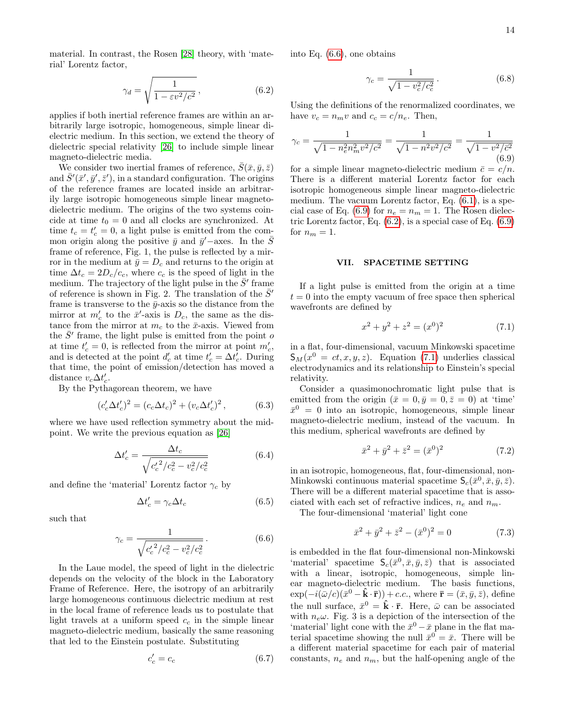material. In contrast, the Rosen [\[28\]](#page-19-6) theory, with 'material' Lorentz factor,

<span id="page-13-2"></span>
$$
\gamma_d = \sqrt{\frac{1}{1 - \varepsilon v^2/c^2}},\tag{6.2}
$$

applies if both inertial reference frames are within an arbitrarily large isotropic, homogeneous, simple linear dielectric medium. In this section, we extend the theory of dielectric special relativity [\[26\]](#page-19-4) to include simple linear magneto-dielectric media.

We consider two inertial frames of reference,  $\bar{S}(\bar{x}, \bar{y}, \bar{z})$ and  $\bar{S}'(\bar{x}', \bar{y}', \bar{z}')$ , in a standard configuration. The origins of the reference frames are located inside an arbitrarily large isotropic homogeneous simple linear magnetodielectric medium. The origins of the two systems coincide at time  $t_0 = 0$  and all clocks are synchronized. At time  $t_c = t'_c = 0$ , a light pulse is emitted from the common origin along the positive  $\bar{y}$  and  $\bar{y}'$  –axes. In the  $\bar{S}$ frame of reference, Fig. 1, the pulse is reflected by a mirror in the medium at  $\bar{y} = D_c$  and returns to the origin at time  $\Delta t_c = 2D_c/c_c$ , where  $c_c$  is the speed of light in the medium. The trajectory of the light pulse in the  $\bar{S}$ <sup>'</sup> frame of reference is shown in Fig. 2. The translation of the  $\bar{S}$ <sup>'</sup> frame is transverse to the  $\bar{y}$ -axis so the distance from the mirror at  $m'_c$  to the  $\bar{x}'$ -axis is  $D_c$ , the same as the distance from the mirror at  $m_c$  to the  $\bar{x}$ -axis. Viewed from the  $\bar{S}'$  frame, the light pulse is emitted from the point of at time  $t'_{c} = 0$ , is reflected from the mirror at point  $m'_{c}$ , and is detected at the point  $d'_{c}$  at time  $t'_{c} = \Delta t'_{c}$ . During that time, the point of emission/detection has moved a distance  $v_c \Delta t'_c$ .

By the Pythagorean theorem, we have

$$
(c_c' \Delta t_c')^2 = (c_c \Delta t_c)^2 + (v_c \Delta t_c')^2, \qquad (6.3)
$$

where we have used reflection symmetry about the midpoint. We write the previous equation as [\[26\]](#page-19-4)

$$
\Delta t_c' = \frac{\Delta t_c}{\sqrt{{c_c'}^2/c_c^2 - v_c^2/c_c^2}}
$$
(6.4)

and define the 'material' Lorentz factor  $\gamma_c$  by

$$
\Delta t_c' = \gamma_c \Delta t_c \tag{6.5}
$$

such that

<span id="page-13-0"></span>
$$
\gamma_c = \frac{1}{\sqrt{{c_c'}^2/c_c^2 - v_c^2/c_c^2}}.
$$
\n(6.6)

In the Laue model, the speed of light in the dielectric depends on the velocity of the block in the Laboratory Frame of Reference. Here, the isotropy of an arbitrarily large homogeneous continuous dielectric medium at rest in the local frame of reference leads us to postulate that light travels at a uniform speed  $c_c$  in the simple linear magneto-dielectric medium, basically the same reasoning that led to the Einstein postulate. Substituting

$$
c'_{c} = c_{c} \tag{6.7}
$$

into Eq. [\(6.6\)](#page-13-0), one obtains

$$
\gamma_c = \frac{1}{\sqrt{1 - v_c^2/c_c^2}}.
$$
\n(6.8)

Using the definitions of the renormalized coordinates, we have  $v_c = n_m v$  and  $c_c = c/n_e$ . Then,

<span id="page-13-1"></span>
$$
\gamma_c = \frac{1}{\sqrt{1 - n_e^2 n_m^2 v^2/c^2}} = \frac{1}{\sqrt{1 - n^2 v^2/c^2}} = \frac{1}{\sqrt{1 - v^2/c^2}}
$$
(6.9)

for a simple linear magneto-dielectric medium  $\bar{c} = c/n$ . There is a different material Lorentz factor for each isotropic homogeneous simple linear magneto-dielectric medium. The vacuum Lorentz factor, Eq. [\(6.1\)](#page-12-1), is a spe-cial case of Eq. [\(6.9\)](#page-13-1) for  $n_e = n_m = 1$ . The Rosen dielectric Lorentz factor, Eq. [\(6.2\)](#page-13-2), is a special case of Eq. [\(6.9\)](#page-13-1) for  $n_m = 1$ .

#### VII. SPACETIME SETTING

If a light pulse is emitted from the origin at a time  $t = 0$  into the empty vacuum of free space then spherical wavefronts are defined by

<span id="page-13-3"></span>
$$
x^2 + y^2 + z^2 = (x^0)^2 \tag{7.1}
$$

in a flat, four-dimensional, vacuum Minkowski spacetime  $S_M(x^0 = ct, x, y, z)$ . Equation [\(7.1\)](#page-13-3) underlies classical electrodynamics and its relationship to Einstein's special relativity.

Consider a quasimonochromatic light pulse that is emitted from the origin  $(\bar{x} = 0, \bar{y} = 0, \bar{z} = 0)$  at 'time'  $\bar{x}^0 = 0$  into an isotropic, homogeneous, simple linear magneto-dielectric medium, instead of the vacuum. In this medium, spherical wavefronts are defined by

$$
\bar{x}^2 + \bar{y}^2 + \bar{z}^2 = (\bar{x}^0)^2 \tag{7.2}
$$

in an isotropic, homogeneous, flat, four-dimensional, non-Minkowski continuous material spacetime  $\mathsf{S}_c(\bar{x}^0, \bar{x}, \bar{y}, \bar{z})$ . There will be a different material spacetime that is associated with each set of refractive indices,  $n_e$  and  $n_m$ .

The four-dimensional 'material' light cone

$$
\bar{x}^2 + \bar{y}^2 + \bar{z}^2 - (\bar{x}^0)^2 = 0 \tag{7.3}
$$

is embedded in the flat four-dimensional non-Minkowski 'material' spacetime  $S_c(\bar{x}^0, \bar{x}, \bar{y}, \bar{z})$  that is associated with a linear, isotropic, homogeneous, simple linear magneto-dielectric medium. The basis functions,  $\exp(-i(\bar{\omega}/c)(\bar{x}^0 - \hat{k} \cdot \bar{r})) + c.c.,$  where  $\bar{r} = (\bar{x}, \bar{y}, \bar{z}),$  define the null surface,  $\bar{x}^0 = \hat{k} \cdot \bar{r}$ . Here,  $\bar{\omega}$  can be associated with  $n_e\omega$ . Fig. 3 is a depiction of the intersection of the 'material' light cone with the  $\bar{x}^0 - \bar{x}$  plane in the flat material spacetime showing the null  $\bar{x}^0 = \bar{x}$ . There will be a different material spacetime for each pair of material constants,  $n_e$  and  $n_m$ , but the half-opening angle of the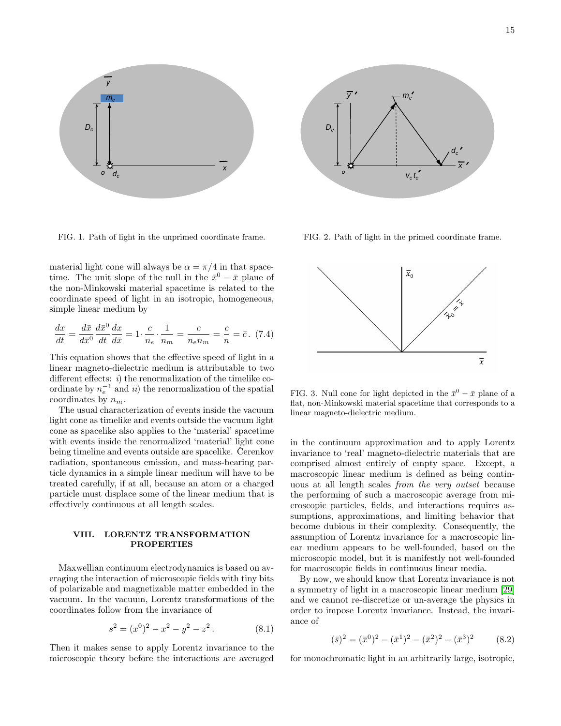

FIG. 1. Path of light in the unprimed coordinate frame.

material light cone will always be  $\alpha = \pi/4$  in that spacetime. The unit slope of the null in the  $\bar{x}^0 - \bar{x}$  plane of the non-Minkowski material spacetime is related to the coordinate speed of light in an isotropic, homogeneous, simple linear medium by

$$
\frac{dx}{dt} = \frac{d\bar{x}}{d\bar{x}^0} \frac{d\bar{x}^0}{dt} \frac{dx}{d\bar{x}} = 1 \cdot \frac{c}{n_e} \cdot \frac{1}{n_m} = \frac{c}{n_e n_m} = \frac{c}{n} = \bar{c}.
$$
 (7.4)

This equation shows that the effective speed of light in a linear magneto-dielectric medium is attributable to two different effects:  $i)$  the renormalization of the timelike coordinate by  $n_e^{-1}$  and ii) the renormalization of the spatial coordinates by  $n_m$ .

The usual characterization of events inside the vacuum light cone as timelike and events outside the vacuum light cone as spacelike also applies to the 'material' spacetime with events inside the renormalized 'material' light cone being timeline and events outside are spacelike. Cerenkov radiation, spontaneous emission, and mass-bearing particle dynamics in a simple linear medium will have to be treated carefully, if at all, because an atom or a charged particle must displace some of the linear medium that is effectively continuous at all length scales.

# VIII. LORENTZ TRANSFORMATION PROPERTIES

Maxwellian continuum electrodynamics is based on averaging the interaction of microscopic fields with tiny bits of polarizable and magnetizable matter embedded in the vacuum. In the vacuum, Lorentz transformations of the coordinates follow from the invariance of

$$
s^2 = (x^0)^2 - x^2 - y^2 - z^2.
$$
 (8.1)

Then it makes sense to apply Lorentz invariance to the microscopic theory before the interactions are averaged



FIG. 2. Path of light in the primed coordinate frame.



FIG. 3. Null cone for light depicted in the  $\bar{x}^0 - \bar{x}$  plane of a flat, non-Minkowski material spacetime that corresponds to a linear magneto-dielectric medium.

in the continuum approximation and to apply Lorentz invariance to 'real' magneto-dielectric materials that are comprised almost entirely of empty space. Except, a macroscopic linear medium is defined as being continuous at all length scales from the very outset because the performing of such a macroscopic average from microscopic particles, fields, and interactions requires assumptions, approximations, and limiting behavior that become dubious in their complexity. Consequently, the assumption of Lorentz invariance for a macroscopic linear medium appears to be well-founded, based on the microscopic model, but it is manifestly not well-founded for macroscopic fields in continuous linear media.

By now, we should know that Lorentz invariance is not a symmetry of light in a macroscopic linear medium [\[29\]](#page-19-7) and we cannot re-discretize or un-average the physics in order to impose Lorentz invariance. Instead, the invariance of

$$
(\bar{s})^2 = (\bar{x}^0)^2 - (\bar{x}^1)^2 - (\bar{x}^2)^2 - (\bar{x}^3)^2 \tag{8.2}
$$

for monochromatic light in an arbitrarily large, isotropic,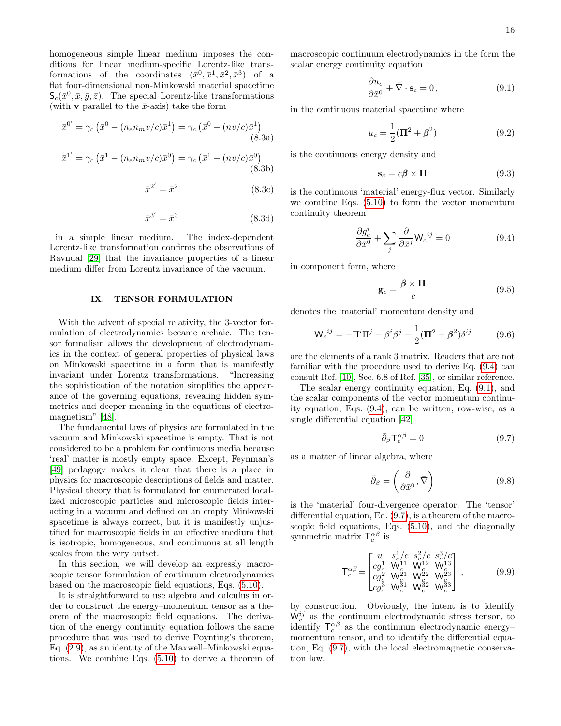homogeneous simple linear medium imposes the conditions for linear medium-specific Lorentz-like transformations of the coordinates  $(\bar{x}^0, \bar{x}^1, \bar{x}^2, \bar{x}^3)$  of a flat four-dimensional non-Minkowski material spacetime  $\mathsf{S}_c(\bar{x}^0, \bar{x}, \bar{y}, \bar{z})$ . The special Lorentz-like transformations (with **v** parallel to the  $\bar{x}$ -axis) take the form

$$
\bar{x}^{0'} = \gamma_c \left( \bar{x}^0 - (n_e n_m v/c) \bar{x}^1 \right) = \gamma_c \left( \bar{x}^0 - (n v/c) \bar{x}^1 \right)
$$
\n(8.3a)  
\n
$$
\bar{x}^{1'} = \gamma_c \left( \bar{x}^1 - (n_e n_m v/c) \bar{x}^0 \right) = \gamma_c \left( \bar{x}^1 - (n v/c) \bar{x}^0 \right)
$$
\n(8.3b)

$$
\bar{x}^{2'} = \bar{x}^2 \tag{8.3c}
$$

$$
\bar{x}^{3'} = \bar{x}^3 \tag{8.3d}
$$

in a simple linear medium. The index-dependent Lorentz-like transformation confirms the observations of Ravndal [\[29\]](#page-19-7) that the invariance properties of a linear medium differ from Lorentz invariance of the vacuum.

#### IX. TENSOR FORMULATION

With the advent of special relativity, the 3-vector formulation of electrodynamics became archaic. The tensor formalism allows the development of electrodynamics in the context of general properties of physical laws on Minkowski spacetime in a form that is manifestly invariant under Lorentz transformations. "Increasing the sophistication of the notation simplifies the appearance of the governing equations, revealing hidden symmetries and deeper meaning in the equations of electromagnetism" [\[48\]](#page-19-26).

The fundamental laws of physics are formulated in the vacuum and Minkowski spacetime is empty. That is not considered to be a problem for continuous media because 'real' matter is mostly empty space. Except, Feynman's [\[49\]](#page-19-27) pedagogy makes it clear that there is a place in physics for macroscopic descriptions of fields and matter. Physical theory that is formulated for enumerated localized microscopic particles and microscopic fields interacting in a vacuum and defined on an empty Minkowski spacetime is always correct, but it is manifestly unjustified for macroscopic fields in an effective medium that is isotropic, homogeneous, and continuous at all length scales from the very outset.

In this section, we will develop an expressly macroscopic tensor formulation of continuum electrodynamics based on the macroscopic field equations, Eqs. [\(5.10\)](#page-12-0).

It is straightforward to use algebra and calculus in order to construct the energy–momentum tensor as a theorem of the macroscopic field equations. The derivation of the energy continuity equation follows the same procedure that was used to derive Poynting's theorem, Eq. [\(2.9\)](#page-4-0), as an identity of the Maxwell–Minkowski equations. We combine Eqs. [\(5.10\)](#page-12-0) to derive a theorem of macroscopic continuum electrodynamics in the form the scalar energy continuity equation

<span id="page-15-1"></span>
$$
\frac{\partial u_c}{\partial \bar{x}^0} + \bar{\nabla} \cdot \mathbf{s}_c = 0, \qquad (9.1)
$$

in the continuous material spacetime where

$$
u_c = \frac{1}{2}(\Pi^2 + \beta^2)
$$
 (9.2)

is the continuous energy density and

<span id="page-15-5"></span>
$$
\mathbf{s}_c = c\boldsymbol{\beta} \times \boldsymbol{\Pi} \tag{9.3}
$$

is the continuous 'material' energy-flux vector. Similarly we combine Eqs. [\(5.10\)](#page-12-0) to form the vector momentum continuity theorem

<span id="page-15-0"></span>
$$
\frac{\partial g_c^i}{\partial \bar{x}^0} + \sum_j \frac{\partial}{\partial \bar{x}^j} \mathsf{W}_c^{ij} = 0 \tag{9.4}
$$

in component form, where

<span id="page-15-4"></span>
$$
\mathbf{g}_c = \frac{\beta \times \Pi}{c} \tag{9.5}
$$

denotes the 'material' momentum density and

$$
\mathsf{W}_{c}^{ij} = -\Pi^{i}\Pi^{j} - \beta^{i}\beta^{j} + \frac{1}{2}(\Pi^{2} + \beta^{2})\delta^{ij} \tag{9.6}
$$

are the elements of a rank 3 matrix. Readers that are not familiar with the procedure used to derive Eq. [\(9.4\)](#page-15-0) can consult Ref. [\[10\]](#page-18-13), Sec. 6.8 of Ref. [\[35\]](#page-19-13), or similar reference.

The scalar energy continuity equation, Eq. [\(9.1\)](#page-15-1), and the scalar components of the vector momentum continuity equation, Eqs. [\(9.4\)](#page-15-0), can be written, row-wise, as a single differential equation [\[42\]](#page-19-19)

<span id="page-15-2"></span>
$$
\bar{\partial}_{\beta} \mathsf{T}^{\alpha \beta}_c = 0 \tag{9.7}
$$

as a matter of linear algebra, where

$$
\bar{\partial}_{\beta} = \left(\frac{\partial}{\partial \bar{x}^0}, \bar{\nabla}\right) \tag{9.8}
$$

is the 'material' four-divergence operator. The 'tensor' differential equation, Eq. [\(9.7\)](#page-15-2), is a theorem of the macroscopic field equations, Eqs. [\(5.10\)](#page-12-0), and the diagonally symmetric matrix  $\mathsf{T}_c^{\alpha\beta}$  is

<span id="page-15-3"></span>
$$
\mathsf{T}_{c}^{\alpha\beta} = \begin{bmatrix} u & s_{c}^{1}/c & s_{c}^{2}/c & s_{c}^{3}/c \\ cg_{c}^{1} & \mathsf{W}_{c}^{11} & \mathsf{W}_{c}^{12} & \mathsf{W}_{c}^{13} \\ cg_{c}^{2} & \mathsf{W}_{c}^{21} & \mathsf{W}_{c}^{22} & \mathsf{W}_{c}^{23} \\ cg_{c}^{3} & \mathsf{W}_{c}^{31} & \mathsf{W}_{c}^{32} & \mathsf{W}_{c}^{33} \end{bmatrix}, \qquad (9.9)
$$

by construction. Obviously, the intent is to identify  $W_c^{ij}$  as the continuum electrodynamic stress tensor, to identify  $\mathsf{T}_c^{\alpha\beta}$  as the continuum electrodynamic energy– momentum tensor, and to identify the differential equation, Eq. [\(9.7\)](#page-15-2), with the local electromagnetic conservation law.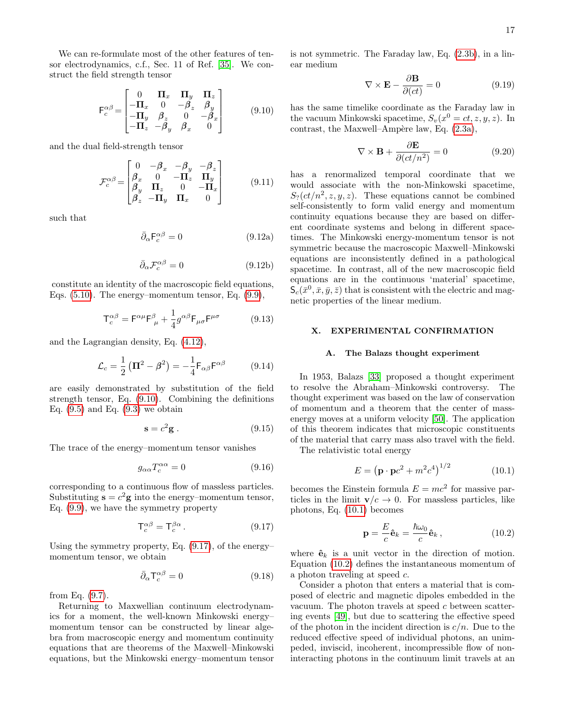We can re-formulate most of the other features of tensor electrodynamics, c.f., Sec. 11 of Ref. [\[35\]](#page-19-13). We construct the field strength tensor

<span id="page-16-0"></span>
$$
\mathsf{F}_c^{\alpha\beta} = \begin{bmatrix} 0 & \mathbf{\Pi}_x & \mathbf{\Pi}_y & \mathbf{\Pi}_z \\ -\mathbf{\Pi}_x & 0 & -\beta_z & \beta_y \\ -\mathbf{\Pi}_y & \beta_z & 0 & -\beta_x \\ -\mathbf{\Pi}_z & -\beta_y & \beta_x & 0 \end{bmatrix} \tag{9.10}
$$

and the dual field-strength tensor

$$
\mathcal{F}_c^{\alpha\beta} = \begin{bmatrix} 0 & -\beta_x & -\beta_y & -\beta_z \\ \beta_x & 0 & -\Pi_z & \Pi_y \\ \beta_y & \Pi_z & 0 & -\Pi_x \\ \beta_z & -\Pi_y & \Pi_x & 0 \end{bmatrix}
$$
(9.11)

such that

$$
\bar{\partial}_{\alpha} \mathsf{F}_{c}^{\alpha \beta} = 0 \tag{9.12a}
$$

$$
\bar{\partial}_{\alpha} \mathcal{F}_{c}^{\alpha \beta} = 0 \tag{9.12b}
$$

constitute an identity of the macroscopic field equations, Eqs.  $(5.10)$ . The energy–momentum tensor, Eq.  $(9.9)$ ,

$$
T_c^{\alpha\beta} = F^{\alpha\mu}F_{\mu}^{\beta} + \frac{1}{4}g^{\alpha\beta}F_{\mu\sigma}F^{\mu\sigma}
$$
 (9.13)

and the Lagrangian density, Eq. [\(4.12\)](#page-10-6),

$$
\mathcal{L}_c = \frac{1}{2} \left( \mathbf{\Pi}^2 - \boldsymbol{\beta}^2 \right) = -\frac{1}{4} \mathsf{F}_{\alpha\beta} \mathsf{F}^{\alpha\beta} \tag{9.14}
$$

are easily demonstrated by substitution of the field strength tensor, Eq. [\(9.10\)](#page-16-0). Combining the definitions Eq.  $(9.5)$  and Eq.  $(9.3)$  we obtain

$$
\mathbf{s} = c^2 \mathbf{g} \,. \tag{9.15}
$$

The trace of the energy–momentum tensor vanishes

$$
g_{\alpha\alpha}T_c^{\alpha\alpha} = 0 \tag{9.16}
$$

corresponding to a continuous flow of massless particles. Substituting  $\mathbf{s} = c^2 \mathbf{g}$  into the energy–momentum tensor, Eq. [\(9.9\)](#page-15-3), we have the symmetry property

<span id="page-16-1"></span>
$$
\mathsf{T}_c^{\alpha\beta} = \mathsf{T}_c^{\beta\alpha} \,. \tag{9.17}
$$

Using the symmetry property, Eq. [\(9.17\)](#page-16-1), of the energy– momentum tensor, we obtain

$$
\bar{\partial}_{\alpha} \mathsf{T}^{\alpha \beta}_{c} = 0 \tag{9.18}
$$

from Eq. [\(9.7\)](#page-15-2).

Returning to Maxwellian continuum electrodynamics for a moment, the well-known Minkowski energy– momentum tensor can be constructed by linear algebra from macroscopic energy and momentum continuity equations that are theorems of the Maxwell–Minkowski equations, but the Minkowski energy–momentum tensor is not symmetric. The Faraday law, Eq. [\(2.3b\)](#page-3-4), in a linear medium

$$
\nabla \times \mathbf{E} - \frac{\partial \mathbf{B}}{\partial (ct)} = 0 \tag{9.19}
$$

has the same timelike coordinate as the Faraday law in the vacuum Minkowski spacetime,  $S_v(x^0 = ct, z, y, z)$ . In contrast, the Maxwell–Ampère law, Eq.  $(2.3a)$ ,

$$
\nabla \times \mathbf{B} + \frac{\partial \mathbf{E}}{\partial (ct/n^2)} = 0 \tag{9.20}
$$

has a renormalized temporal coordinate that we would associate with the non-Minkowski spacetime,  $S<sub>2</sub>(ct/n<sup>2</sup>, z, y, z)$ . These equations cannot be combined self-consistently to form valid energy and momentum continuity equations because they are based on different coordinate systems and belong in different spacetimes. The Minkowski energy-momentum tensor is not symmetric because the macroscopic Maxwell–Minkowski equations are inconsistently defined in a pathological spacetime. In contrast, all of the new macroscopic field equations are in the continuous 'material' spacetime,  $\mathsf{S}_{c}(\bar{x}^0, \bar{x}, \bar{y}, \bar{z})$  that is consistent with the electric and magnetic properties of the linear medium.

### X. EXPERIMENTAL CONFIRMATION

#### A. The Balazs thought experiment

In 1953, Balazs [\[33\]](#page-19-11) proposed a thought experiment to resolve the Abraham–Minkowski controversy. The thought experiment was based on the law of conservation of momentum and a theorem that the center of massenergy moves at a uniform velocity [\[50\]](#page-19-28). The application of this theorem indicates that microscopic constituents of the material that carry mass also travel with the field.

The relativistic total energy

<span id="page-16-2"></span>
$$
E = (\mathbf{p} \cdot \mathbf{p}c^2 + m^2c^4)^{1/2}
$$
 (10.1)

becomes the Einstein formula  $E = mc^2$  for massive particles in the limit  $\mathbf{v}/c \to 0$ . For massless particles, like photons, Eq. [\(10.1\)](#page-16-2) becomes

<span id="page-16-3"></span>
$$
\mathbf{p} = \frac{E}{c}\hat{\mathbf{e}}_k = \frac{\hbar\omega_0}{c}\hat{\mathbf{e}}_k, \qquad (10.2)
$$

where  $\hat{\mathbf{e}}_k$  is a unit vector in the direction of motion. Equation [\(10.2\)](#page-16-3) defines the instantaneous momentum of a photon traveling at speed c.

Consider a photon that enters a material that is composed of electric and magnetic dipoles embedded in the vacuum. The photon travels at speed  $c$  between scattering events [\[49\]](#page-19-27), but due to scattering the effective speed of the photon in the incident direction is  $c/n$ . Due to the reduced effective speed of individual photons, an unimpeded, inviscid, incoherent, incompressible flow of noninteracting photons in the continuum limit travels at an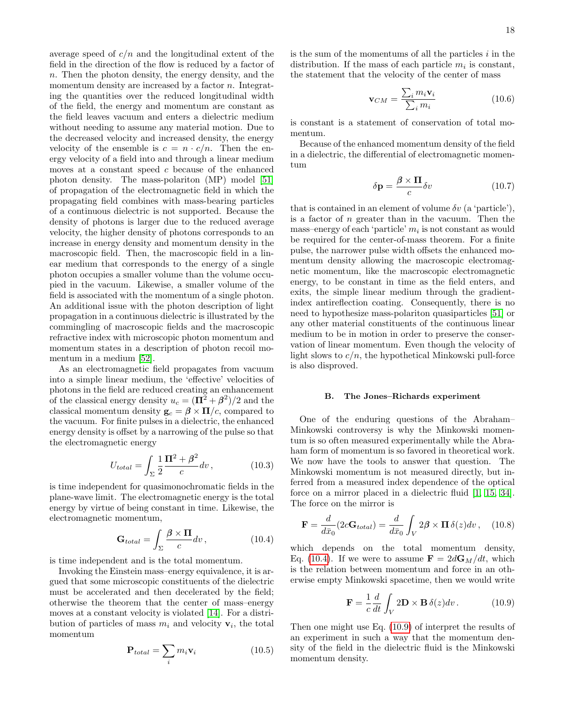average speed of  $c/n$  and the longitudinal extent of the field in the direction of the flow is reduced by a factor of  $n.$  Then the photon density, the energy density, and the momentum density are increased by a factor  $n$ . Integrating the quantities over the reduced longitudinal width of the field, the energy and momentum are constant as the field leaves vacuum and enters a dielectric medium without needing to assume any material motion. Due to the decreased velocity and increased density, the energy velocity of the ensemble is  $c = n \cdot c/n$ . Then the energy velocity of a field into and through a linear medium moves at a constant speed  $c$  because of the enhanced photon density. The mass-polariton (MP) model [\[51\]](#page-19-29) of propagation of the electromagnetic field in which the propagating field combines with mass-bearing particles of a continuous dielectric is not supported. Because the density of photons is larger due to the reduced average velocity, the higher density of photons corresponds to an increase in energy density and momentum density in the macroscopic field. Then, the macroscopic field in a linear medium that corresponds to the energy of a single photon occupies a smaller volume than the volume occupied in the vacuum. Likewise, a smaller volume of the field is associated with the momentum of a single photon. An additional issue with the photon description of light propagation in a continuous dielectric is illustrated by the commingling of macroscopic fields and the macroscopic refractive index with microscopic photon momentum and momentum states in a description of photon recoil momentum in a medium [\[52\]](#page-19-30).

As an electromagnetic field propagates from vacuum into a simple linear medium, the 'effective' velocities of photons in the field are reduced creating an enhancement of the classical energy density  $u_c = (\mathbf{\Pi}^2 + \beta^2)/2$  and the classical momentum density  $\mathbf{g}_c = \boldsymbol{\beta} \times \mathbf{\Pi}/c$ , compared to the vacuum. For finite pulses in a dielectric, the enhanced energy density is offset by a narrowing of the pulse so that the electromagnetic energy

$$
U_{total} = \int_{\Sigma} \frac{1}{2} \frac{\Pi^2 + \beta^2}{c} dv, \qquad (10.3)
$$

is time independent for quasimonochromatic fields in the plane-wave limit. The electromagnetic energy is the total energy by virtue of being constant in time. Likewise, the electromagnetic momentum,

<span id="page-17-0"></span>
$$
\mathbf{G}_{total} = \int_{\Sigma} \frac{\beta \times \Pi}{c} dv, \qquad (10.4)
$$

is time independent and is the total momentum.

Invoking the Einstein mass–energy equivalence, it is argued that some microscopic constituents of the dielectric must be accelerated and then decelerated by the field; otherwise the theorem that the center of mass–energy moves at a constant velocity is violated [\[14\]](#page-18-10). For a distribution of particles of mass  $m_i$  and velocity  $\mathbf{v}_i$ , the total momentum

$$
\mathbf{P}_{total} = \sum_{i} m_i \mathbf{v}_i \tag{10.5}
$$

is the sum of the momentums of all the particles  $i$  in the distribution. If the mass of each particle  $m_i$  is constant, the statement that the velocity of the center of mass

$$
\mathbf{v}_{CM} = \frac{\sum_{i} m_i \mathbf{v}_i}{\sum_{i} m_i}
$$
(10.6)

is constant is a statement of conservation of total momentum.

Because of the enhanced momentum density of the field in a dielectric, the differential of electromagnetic momentum

$$
\delta \mathbf{p} = \frac{\beta \times \mathbf{\Pi}}{c} \delta v \tag{10.7}
$$

that is contained in an element of volume  $\delta v$  (a 'particle'), is a factor of n greater than in the vacuum. Then the  $mass–energy of each 'particle' m<sub>i</sub> is not constant as would$ be required for the center-of-mass theorem. For a finite pulse, the narrower pulse width offsets the enhanced momentum density allowing the macroscopic electromagnetic momentum, like the macroscopic electromagnetic energy, to be constant in time as the field enters, and exits, the simple linear medium through the gradientindex antireflection coating. Consequently, there is no need to hypothesize mass-polariton quasiparticles [\[51\]](#page-19-29) or any other material constituents of the continuous linear medium to be in motion in order to preserve the conservation of linear momentum. Even though the velocity of light slows to  $c/n$ , the hypothetical Minkowski pull-force is also disproved.

#### B. The Jones–Richards experiment

One of the enduring questions of the Abraham– Minkowski controversy is why the Minkowski momentum is so often measured experimentally while the Abraham form of momentum is so favored in theoretical work. We now have the tools to answer that question. The Minkowski momentum is not measured directly, but inferred from a measured index dependence of the optical force on a mirror placed in a dielectric fluid [\[1,](#page-18-0) [15,](#page-18-11) [34\]](#page-19-12). The force on the mirror is

<span id="page-17-2"></span>
$$
\mathbf{F} = \frac{d}{d\bar{x}_0} (2c\mathbf{G}_{total}) = \frac{d}{d\bar{x}_0} \int_V 2\beta \times \mathbf{\Pi} \,\delta(z) dv \,, \quad (10.8)
$$

which depends on the total momentum density, Eq. [\(10.4\)](#page-17-0). If we were to assume  $\mathbf{F} = 2d\mathbf{G}_M/dt$ , which is the relation between momentum and force in an otherwise empty Minkowski spacetime, then we would write

<span id="page-17-1"></span>
$$
\mathbf{F} = \frac{1}{c} \frac{d}{dt} \int_{V} 2\mathbf{D} \times \mathbf{B} \,\delta(z) dv. \tag{10.9}
$$

Then one might use Eq. [\(10.9\)](#page-17-1) of interpret the results of an experiment in such a way that the momentum density of the field in the dielectric fluid is the Minkowski momentum density.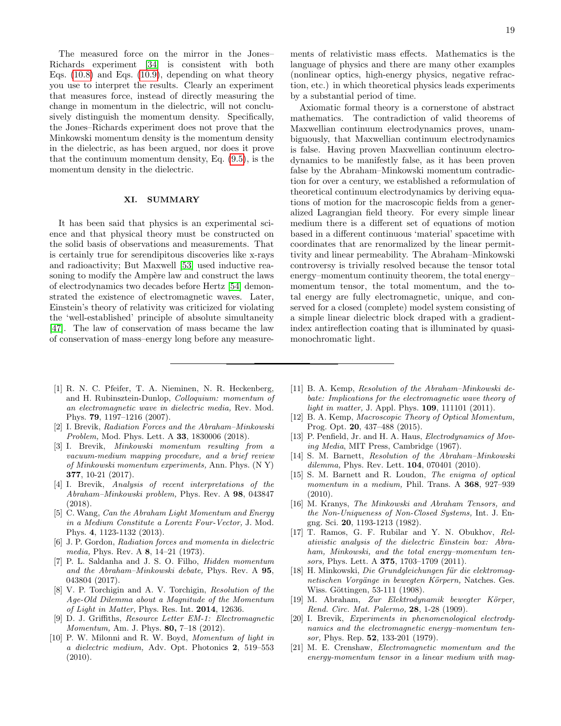The measured force on the mirror in the Jones– Richards experiment [\[34\]](#page-19-12) is consistent with both Eqs.  $(10.8)$  and Eqs.  $(10.9)$ , depending on what theory you use to interpret the results. Clearly an experiment that measures force, instead of directly measuring the change in momentum in the dielectric, will not conclusively distinguish the momentum density. Specifically, the Jones–Richards experiment does not prove that the Minkowski momentum density is the momentum density in the dielectric, as has been argued, nor does it prove that the continuum momentum density, Eq. [\(9.5\)](#page-15-4), is the momentum density in the dielectric.

# XI. SUMMARY

It has been said that physics is an experimental science and that physical theory must be constructed on the solid basis of observations and measurements. That is certainly true for serendipitous discoveries like x-rays and radioactivity; But Maxwell [\[53\]](#page-19-31) used inductive reasoning to modify the Ampère law and construct the laws of electrodynamics two decades before Hertz [\[54\]](#page-19-32) demonstrated the existence of electromagnetic waves. Later, Einstein's theory of relativity was criticized for violating the 'well-established' principle of absolute simultaneity [\[47\]](#page-19-25). The law of conservation of mass became the law of conservation of mass–energy long before any measure19

ments of relativistic mass effects. Mathematics is the language of physics and there are many other examples (nonlinear optics, high-energy physics, negative refraction, etc.) in which theoretical physics leads experiments by a substantial period of time.

Axiomatic formal theory is a cornerstone of abstract mathematics. The contradiction of valid theorems of Maxwellian continuum electrodynamics proves, unambiguously, that Maxwellian continuum electrodynamics is false. Having proven Maxwellian continuum electrodynamics to be manifestly false, as it has been proven false by the Abraham–Minkowski momentum contradiction for over a century, we established a reformulation of theoretical continuum electrodynamics by deriving equations of motion for the macroscopic fields from a generalized Lagrangian field theory. For every simple linear medium there is a different set of equations of motion based in a different continuous 'material' spacetime with coordinates that are renormalized by the linear permittivity and linear permeability. The Abraham–Minkowski controversy is trivially resolved because the tensor total energy–momentum continuity theorem, the total energy– momentum tensor, the total momentum, and the total energy are fully electromagnetic, unique, and conserved for a closed (complete) model system consisting of a simple linear dielectric block draped with a gradientindex antireflection coating that is illuminated by quasimonochromatic light.

- <span id="page-18-0"></span>[1] R. N. C. Pfeifer, T. A. Nieminen, N. R. Heckenberg, and H. Rubinsztein-Dunlop, Colloquium: momentum of an electromagnetic wave in dielectric media, Rev. Mod. Phys. 79, 1197–1216 (2007).
- <span id="page-18-4"></span>[2] I. Brevik, Radiation Forces and the Abraham–Minkowski Problem, Mod. Phys. Lett. A 33, 1830006 (2018).
- [3] I. Brevik, Minkowski momentum resulting from a vacuum-medium mapping procedure, and a brief review of Minkowski momentum experiments, Ann. Phys. (N Y) 377, 10-21 (2017).
- <span id="page-18-14"></span>[4] I. Brevik, Analysis of recent interpretations of the Abraham–Minkowski problem, Phys. Rev. A 98, 043847 (2018).
- <span id="page-18-1"></span>[5] C. Wang, *Can the Abraham Light Momentum and Energy* in a Medium Constitute a Lorentz Four-Vector, J. Mod. Phys. 4, 1123-1132 (2013).
- <span id="page-18-2"></span>[6] J. P. Gordon, Radiation forces and momenta in dielectric media, Phys. Rev. A 8, 14–21 (1973).
- [7] P. L. Saldanha and J. S. O. Filho, Hidden momentum and the Abraham–Minkowski debate, Phys. Rev. A 95, 043804 (2017).
- <span id="page-18-3"></span>[8] V. P. Torchigin and A. V. Torchigin, Resolution of the Age-Old Dilemma about a Magnitude of the Momentum of Light in Matter, Phys. Res. Int. 2014, 12636.
- <span id="page-18-5"></span>[9] D. J. Griffiths, Resource Letter EM-1: Electromagnetic Momentum, Am. J. Phys. 80, 7-18 (2012).
- <span id="page-18-13"></span>[10] P. W. Milonni and R. W. Boyd, Momentum of light in a dielectric medium, Adv. Opt. Photonics 2, 519–553 (2010).
- [11] B. A. Kemp, Resolution of the Abraham–Minkowski debate: Implications for the electromagnetic wave theory of light in matter, J. Appl. Phys. **109**, 111101 (2011).
- [12] B. A. Kemp, Macroscopic Theory of Optical Momentum, Prog. Opt. 20, 437–488 (2015).
- [13] P. Penfield, Jr. and H. A. Haus, *Electrodynamics of Mov*ing Media, MIT Press, Cambridge (1967).
- <span id="page-18-10"></span>[14] S. M. Barnett, Resolution of the Abraham–Minkowski dilemma, Phys. Rev. Lett. **104**, 070401 (2010).
- <span id="page-18-11"></span>[15] S. M. Barnett and R. Loudon, The enigma of optical momentum in a medium, Phil. Trans. A 368, 927-939  $(2010).$
- [16] M. Kranys, The Minkowski and Abraham Tensors, and the Non-Uniqueness of Non-Closed Systems, Int. J. Engng. Sci. 20, 1193-1213 (1982).
- <span id="page-18-6"></span>[17] T. Ramos, G. F. Rubilar and Y. N. Obukhov, Relativistic analysis of the dielectric Einstein box: Abraham, Minkowski, and the total energy–momentum tensors, Phys. Lett. A **375**, 1703-1709 (2011).
- <span id="page-18-7"></span>[18] H. Minkowski, Die Grundgleichungen für die elektromagnetischen Vorgänge in bewegten Körpern, Natches. Ges. Wiss. Göttingen, 53-111 (1908).
- <span id="page-18-8"></span>[19] M. Abraham, Zur Elektrodynamik bewegter Körper, Rend. Circ. Mat. Palermo, 28, 1-28 (1909).
- <span id="page-18-9"></span>[20] I. Brevik, Experiments in phenomenological electrodynamics and the electromagnetic energy–momentum tensor, Phys. Rep. 52, 133-201 (1979).
- <span id="page-18-12"></span>[21] M. E. Crenshaw, Electromagnetic momentum and the energy-momentum tensor in a linear medium with mag-